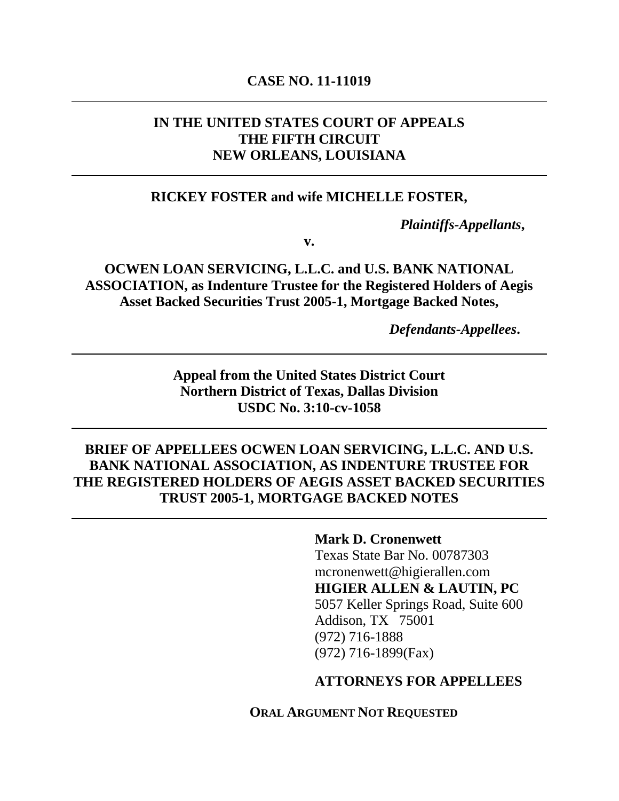### **CASE NO. 11-11019**

# **IN THE UNITED STATES COURT OF APPEALS THE FIFTH CIRCUIT NEW ORLEANS, LOUISIANA**

### **RICKEY FOSTER and wife MICHELLE FOSTER,**

*Plaintiffs-Appellants***,**

**v.**

**OCWEN LOAN SERVICING, L.L.C. and U.S. BANK NATIONAL ASSOCIATION, as Indenture Trustee for the Registered Holders of Aegis Asset Backed Securities Trust 2005-1, Mortgage Backed Notes,**

*Defendants-Appellees***.**

**Appeal from the United States District Court Northern District of Texas, Dallas Division USDC No. 3:10-cv-1058**

### **BRIEF OF APPELLEES OCWEN LOAN SERVICING, L.L.C. AND U.S. BANK NATIONAL ASSOCIATION, AS INDENTURE TRUSTEE FOR THE REGISTERED HOLDERS OF AEGIS ASSET BACKED SECURITIES TRUST 2005-1, MORTGAGE BACKED NOTES**

**Mark D. Cronenwett** Texas State Bar No. 00787303 mcronenwett@higierallen.com **HIGIER ALLEN & LAUTIN, PC** 5057 Keller Springs Road, Suite 600 Addison, TX 75001 (972) 716-1888 (972) 716-1899(Fax)

### **ATTORNEYS FOR APPELLEES**

**ORAL ARGUMENT NOT REQUESTED**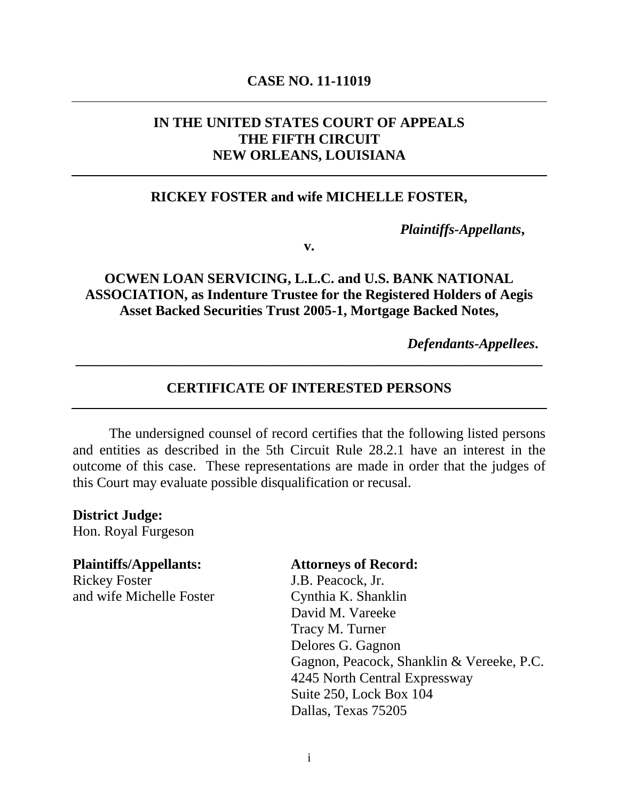### **CASE NO. 11-11019**

# **IN THE UNITED STATES COURT OF APPEALS THE FIFTH CIRCUIT NEW ORLEANS, LOUISIANA**

### **RICKEY FOSTER and wife MICHELLE FOSTER,**

*Plaintiffs-Appellants***,**

**v.**

### **OCWEN LOAN SERVICING, L.L.C. and U.S. BANK NATIONAL ASSOCIATION, as Indenture Trustee for the Registered Holders of Aegis Asset Backed Securities Trust 2005-1, Mortgage Backed Notes,**

*Defendants-Appellees***.**

### **CERTIFICATE OF INTERESTED PERSONS**

**\_\_\_\_\_\_\_\_\_\_\_\_\_\_\_\_\_\_\_\_\_\_\_\_\_\_\_\_\_\_\_\_\_\_\_\_\_\_\_\_\_\_\_\_\_\_\_\_\_\_\_\_\_\_\_\_\_\_\_\_\_\_\_\_\_\_**

The undersigned counsel of record certifies that the following listed persons and entities as described in the 5th Circuit Rule 28.2.1 have an interest in the outcome of this case. These representations are made in order that the judges of this Court may evaluate possible disqualification or recusal.

**District Judge:** Hon. Royal Furgeson

### **Plaintiffs/Appellants: Attorneys of Record:** Rickey Foster J.B. Peacock, Jr.

and wife Michelle Foster Cynthia K. Shanklin

David M. Vareeke Tracy M. Turner Delores G. Gagnon Gagnon, Peacock, Shanklin & Vereeke, P.C. 4245 North Central Expressway Suite 250, Lock Box 104 Dallas, Texas 75205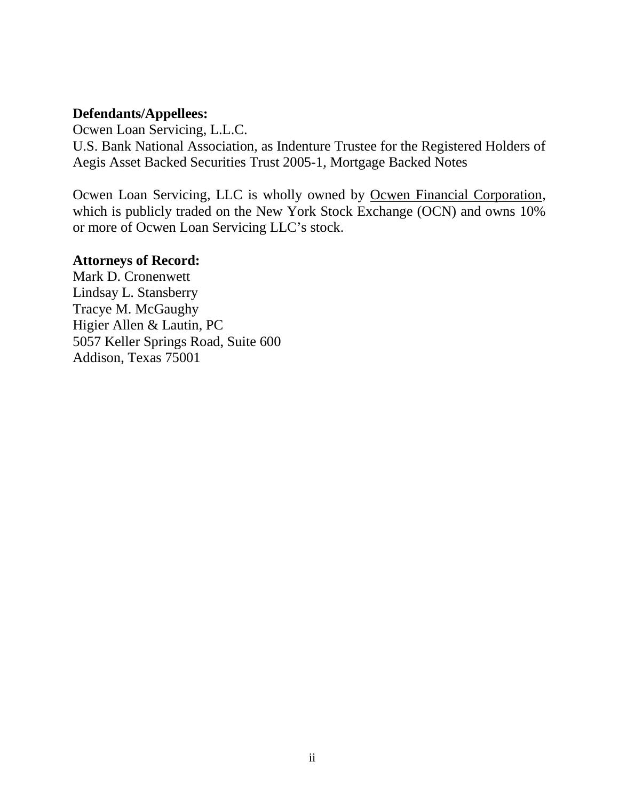### **Defendants/Appellees:**

Ocwen Loan Servicing, L.L.C. U.S. Bank National Association, as Indenture Trustee for the Registered Holders of Aegis Asset Backed Securities Trust 2005-1, Mortgage Backed Notes

Ocwen Loan Servicing, LLC is wholly owned by Ocwen Financial Corporation, which is publicly traded on the New York Stock Exchange (OCN) and owns 10% or more of Ocwen Loan Servicing LLC's stock.

### **Attorneys of Record:**

Mark D. Cronenwett Lindsay L. Stansberry Tracye M. McGaughy Higier Allen & Lautin, PC 5057 Keller Springs Road, Suite 600 Addison, Texas 75001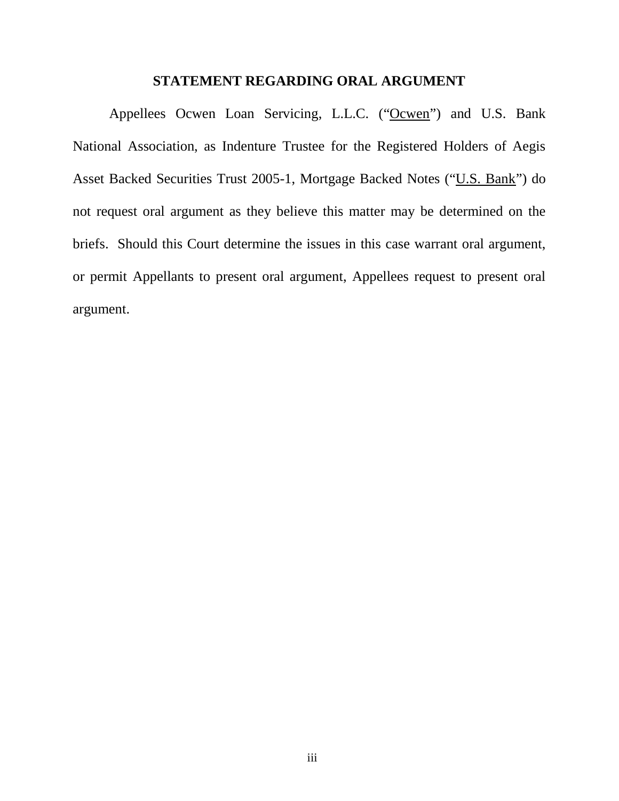### **STATEMENT REGARDING ORAL ARGUMENT**

Appellees Ocwen Loan Servicing, L.L.C. ("Ocwen") and U.S. Bank National Association, as Indenture Trustee for the Registered Holders of Aegis Asset Backed Securities Trust 2005-1, Mortgage Backed Notes ("U.S. Bank") do not request oral argument as they believe this matter may be determined on the briefs. Should this Court determine the issues in this case warrant oral argument, or permit Appellants to present oral argument, Appellees request to present oral argument.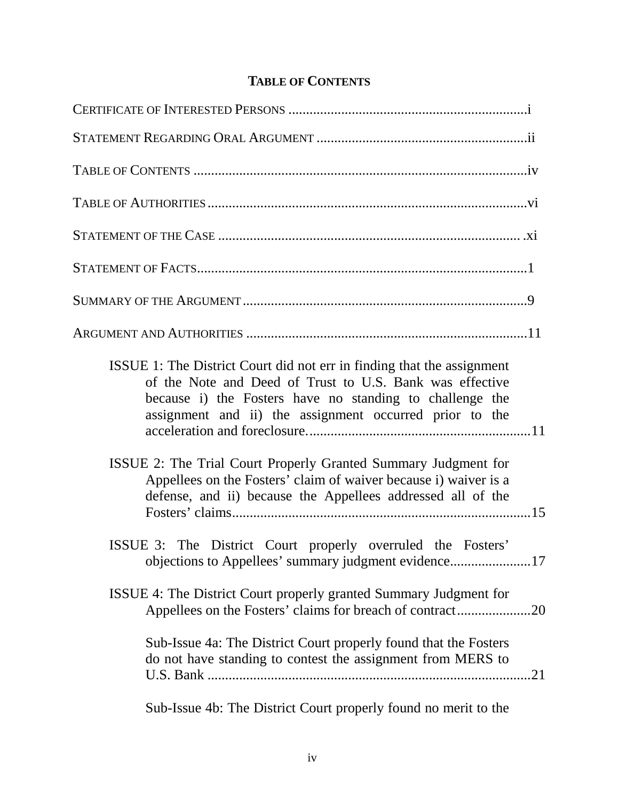# **TABLE OF CONTENTS**

| ISSUE 1: The District Court did not err in finding that the assignment<br>of the Note and Deed of Trust to U.S. Bank was effective<br>because i) the Fosters have no standing to challenge the<br>assignment and ii) the assignment occurred prior to the |  |
|-----------------------------------------------------------------------------------------------------------------------------------------------------------------------------------------------------------------------------------------------------------|--|
| ISSUE 2: The Trial Court Properly Granted Summary Judgment for<br>Appellees on the Fosters' claim of waiver because i) waiver is a<br>defense, and ii) because the Appellees addressed all of the                                                         |  |
| ISSUE 3: The District Court properly overruled the Fosters'                                                                                                                                                                                               |  |
| ISSUE 4: The District Court properly granted Summary Judgment for<br>.20                                                                                                                                                                                  |  |
| Sub-Issue 4a: The District Court properly found that the Fosters<br>do not have standing to contest the assignment from MERS to                                                                                                                           |  |
| Sub-Issue 4b: The District Court properly found no merit to the                                                                                                                                                                                           |  |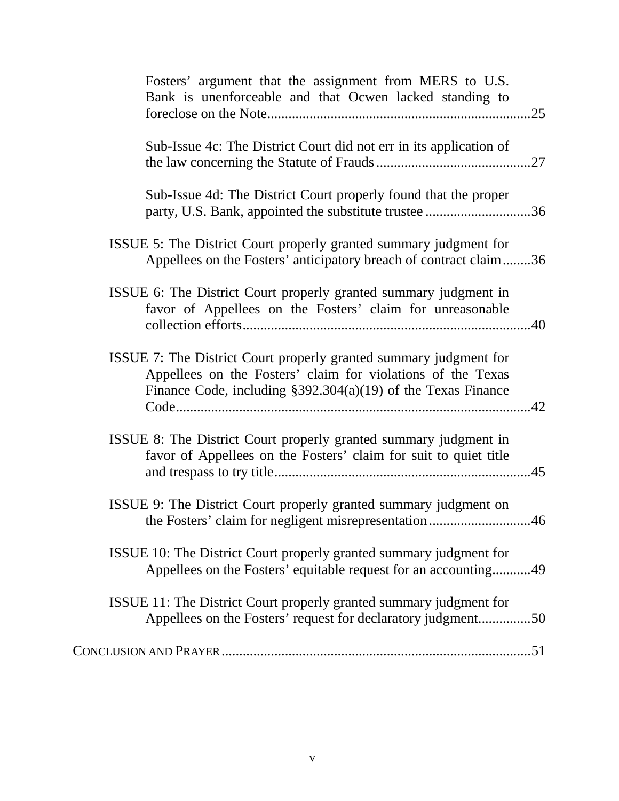| Fosters' argument that the assignment from MERS to U.S.<br>Bank is unenforceable and that Ocwen lacked standing to                                                                                 |  |
|----------------------------------------------------------------------------------------------------------------------------------------------------------------------------------------------------|--|
| Sub-Issue 4c: The District Court did not err in its application of                                                                                                                                 |  |
| Sub-Issue 4d: The District Court properly found that the proper<br>party, U.S. Bank, appointed the substitute trustee 36                                                                           |  |
| ISSUE 5: The District Court properly granted summary judgment for<br>Appellees on the Fosters' anticipatory breach of contract claim36                                                             |  |
| ISSUE 6: The District Court properly granted summary judgment in<br>favor of Appellees on the Fosters' claim for unreasonable                                                                      |  |
| ISSUE 7: The District Court properly granted summary judgment for<br>Appellees on the Fosters' claim for violations of the Texas<br>Finance Code, including $$392.304(a)(19)$ of the Texas Finance |  |
| ISSUE 8: The District Court properly granted summary judgment in<br>favor of Appellees on the Fosters' claim for suit to quiet title                                                               |  |
| ISSUE 9: The District Court properly granted summary judgment on<br>the Fosters' claim for negligent misrepresentation46                                                                           |  |
| ISSUE 10: The District Court properly granted summary judgment for<br>Appellees on the Fosters' equitable request for an accounting49                                                              |  |
| ISSUE 11: The District Court properly granted summary judgment for<br>Appellees on the Fosters' request for declaratory judgment50                                                                 |  |
|                                                                                                                                                                                                    |  |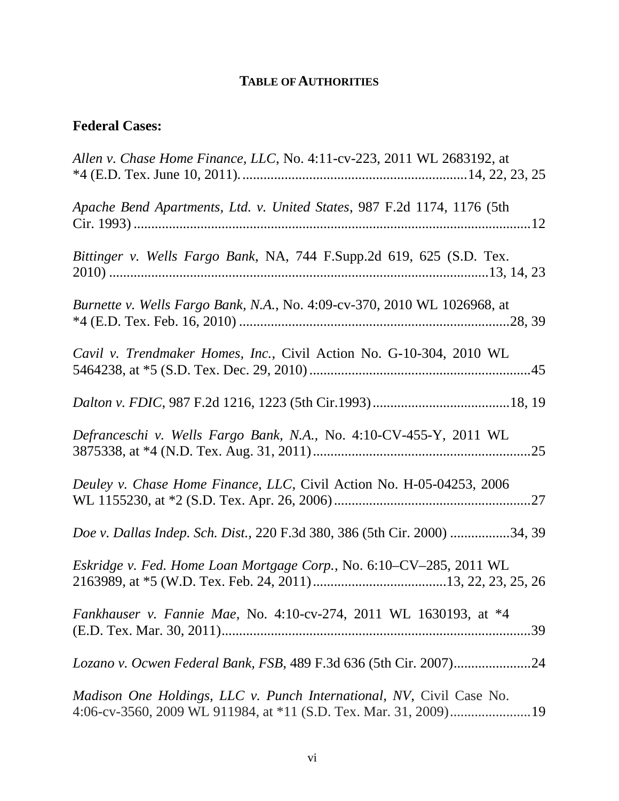# **TABLE OFAUTHORITIES**

# **Federal Cases:**

| Allen v. Chase Home Finance, LLC, No. 4:11-cv-223, 2011 WL 2683192, at          |
|---------------------------------------------------------------------------------|
| Apache Bend Apartments, Ltd. v. United States, 987 F.2d 1174, 1176 (5th         |
| Bittinger v. Wells Fargo Bank, NA, 744 F.Supp.2d 619, 625 (S.D. Tex.            |
| <i>Burnette v. Wells Fargo Bank, N.A., No.</i> 4:09-cv-370, 2010 WL 1026968, at |
| Cavil v. Trendmaker Homes, Inc., Civil Action No. G-10-304, 2010 WL             |
|                                                                                 |
| Defranceschi v. Wells Fargo Bank, N.A., No. 4:10-CV-455-Y, 2011 WL              |
| Deuley v. Chase Home Finance, LLC, Civil Action No. H-05-04253, 2006            |
| Doe v. Dallas Indep. Sch. Dist., 220 F.3d 380, 386 (5th Cir. 2000) 34, 39       |
| Eskridge v. Fed. Home Loan Mortgage Corp., No. 6:10-CV-285, 2011 WL             |
| Fankhauser v. Fannie Mae, No. 4:10-cv-274, 2011 WL 1630193, at *4               |
|                                                                                 |
| <i>Madison One Holdings, LLC v. Punch International, NV, Civil Case No.</i>     |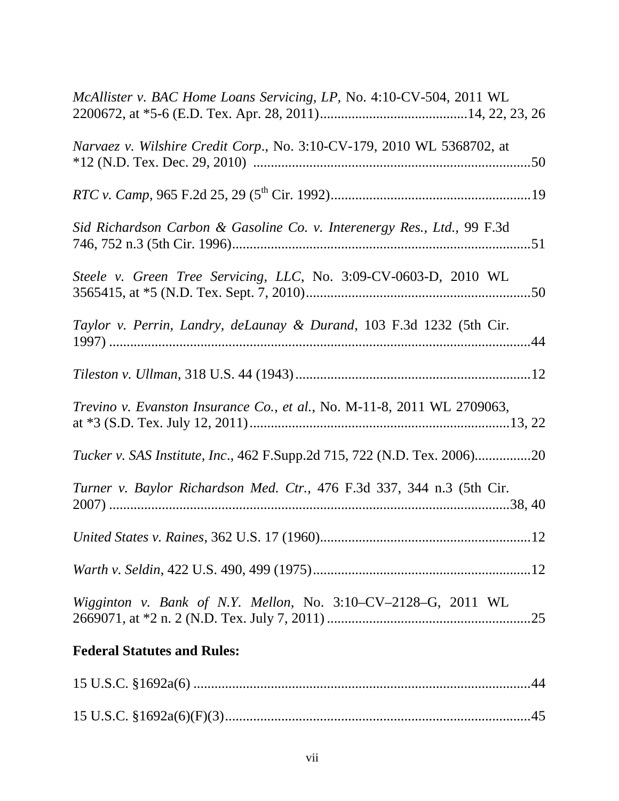| McAllister v. BAC Home Loans Servicing, LP, No. 4:10-CV-504, 2011 WL     |
|--------------------------------------------------------------------------|
| Narvaez v. Wilshire Credit Corp., No. 3:10-CV-179, 2010 WL 5368702, at   |
|                                                                          |
| Sid Richardson Carbon & Gasoline Co. v. Interenergy Res., Ltd., 99 F.3d  |
| Steele v. Green Tree Servicing, LLC, No. 3:09-CV-0603-D, 2010 WL         |
| Taylor v. Perrin, Landry, deLaunay & Durand, 103 F.3d 1232 (5th Cir.     |
|                                                                          |
| Trevino v. Evanston Insurance Co., et al., No. M-11-8, 2011 WL 2709063,  |
| Tucker v. SAS Institute, Inc., 462 F.Supp.2d 715, 722 (N.D. Tex. 2006)20 |
| Turner v. Baylor Richardson Med. Ctr., 476 F.3d 337, 344 n.3 (5th Cir.   |
|                                                                          |
|                                                                          |
| Wigginton v. Bank of N.Y. Mellon, No. 3:10-CV-2128-G, 2011 WL            |
| <b>Federal Statutes and Rules:</b>                                       |
|                                                                          |
|                                                                          |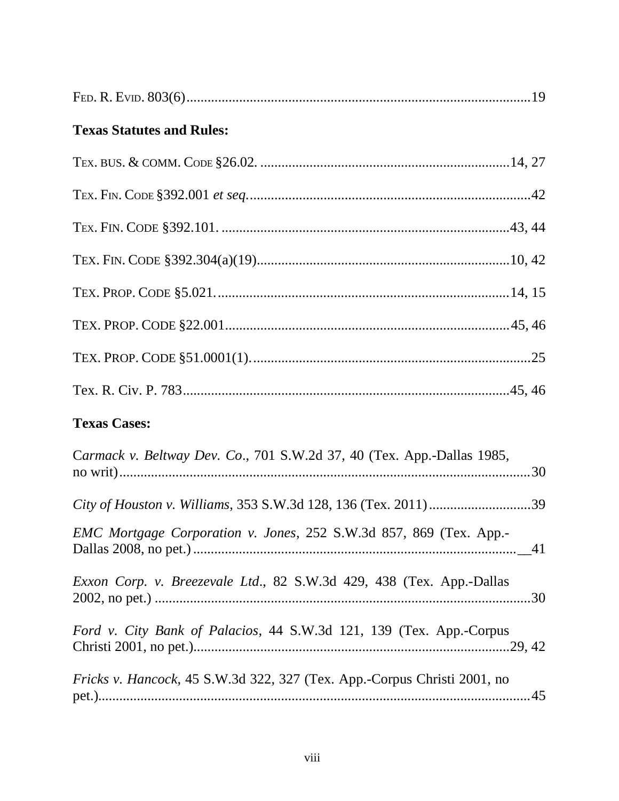| <b>Texas Statutes and Rules:</b>                                                 |
|----------------------------------------------------------------------------------|
|                                                                                  |
|                                                                                  |
|                                                                                  |
|                                                                                  |
|                                                                                  |
|                                                                                  |
|                                                                                  |
|                                                                                  |
| <b>Texas Cases:</b>                                                              |
| Carmack v. Beltway Dev. Co., 701 S.W.2d 37, 40 (Tex. App.-Dallas 1985,           |
|                                                                                  |
| EMC Mortgage Corporation v. Jones, 252 S.W.3d 857, 869 (Tex. App.-               |
| Exxon Corp. v. Breezevale Ltd., 82 S.W.3d 429, 438 (Tex. App.-Dallas             |
| Ford v. City Bank of Palacios, 44 S.W.3d 121, 139 (Tex. App.-Corpus              |
| <i>Fricks v. Hancock</i> , 45 S.W.3d 322, 327 (Tex. App.-Corpus Christi 2001, no |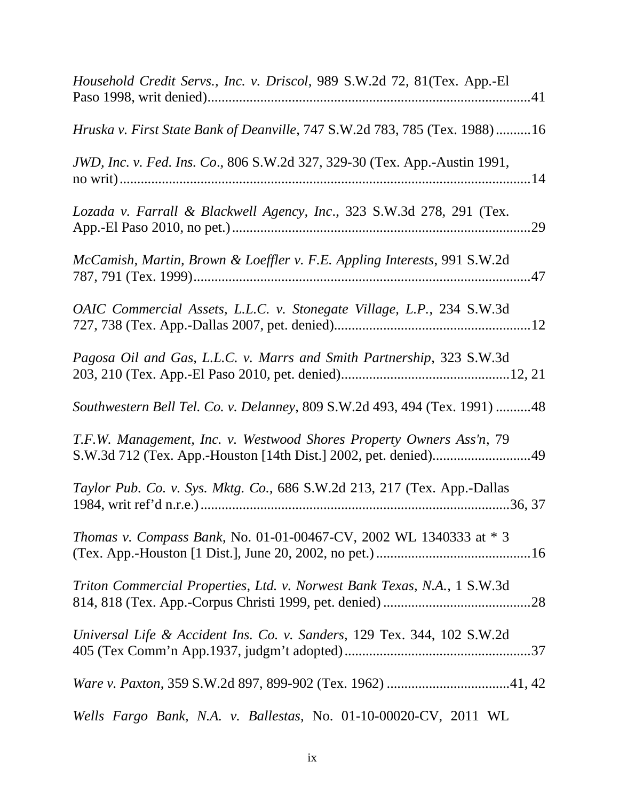| Household Credit Servs., Inc. v. Driscol, 989 S.W.2d 72, 81(Tex. App.-El   |
|----------------------------------------------------------------------------|
| Hruska v. First State Bank of Deanville, 747 S.W.2d 783, 785 (Tex. 1988)16 |
| JWD, Inc. v. Fed. Ins. Co., 806 S.W.2d 327, 329-30 (Tex. App.-Austin 1991, |
| Lozada v. Farrall & Blackwell Agency, Inc., 323 S.W.3d 278, 291 (Tex.      |
| McCamish, Martin, Brown & Loeffler v. F.E. Appling Interests, 991 S.W.2d   |
| OAIC Commercial Assets, L.L.C. v. Stonegate Village, L.P., 234 S.W.3d      |
| Pagosa Oil and Gas, L.L.C. v. Marrs and Smith Partnership, 323 S.W.3d      |
| Southwestern Bell Tel. Co. v. Delanney, 809 S.W.2d 493, 494 (Tex. 1991) 48 |
| T.F.W. Management, Inc. v. Westwood Shores Property Owners Ass'n, 79       |
| Taylor Pub. Co. v. Sys. Mktg. Co., 686 S.W.2d 213, 217 (Tex. App.-Dallas   |
| Thomas v. Compass Bank, No. 01-01-00467-CV, 2002 WL 1340333 at * 3         |
| Triton Commercial Properties, Ltd. v. Norwest Bank Texas, N.A., 1 S.W.3d   |
| Universal Life & Accident Ins. Co. v. Sanders, 129 Tex. 344, 102 S.W.2d    |
|                                                                            |
| Wells Fargo Bank, N.A. v. Ballestas, No. 01-10-00020-CV, 2011 WL           |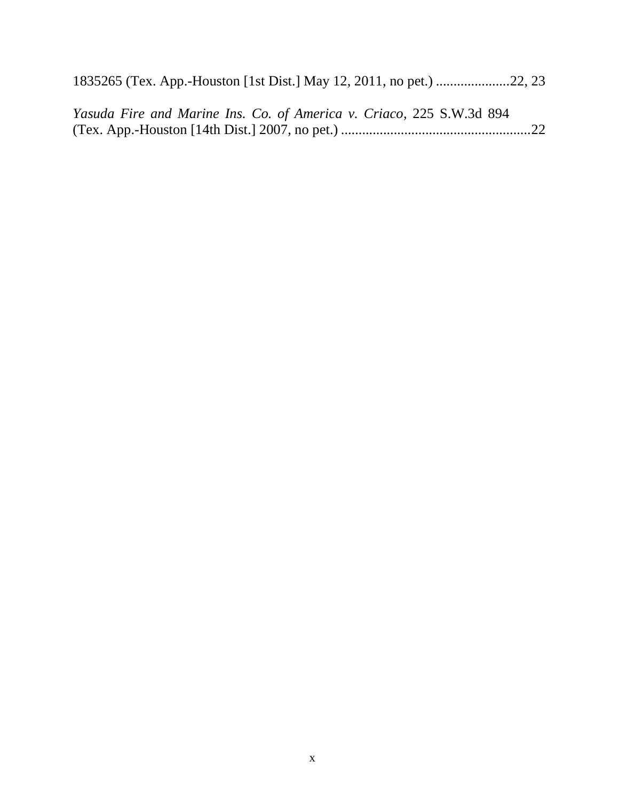| Yasuda Fire and Marine Ins. Co. of America v. Criaco, 225 S.W.3d 894 |  |
|----------------------------------------------------------------------|--|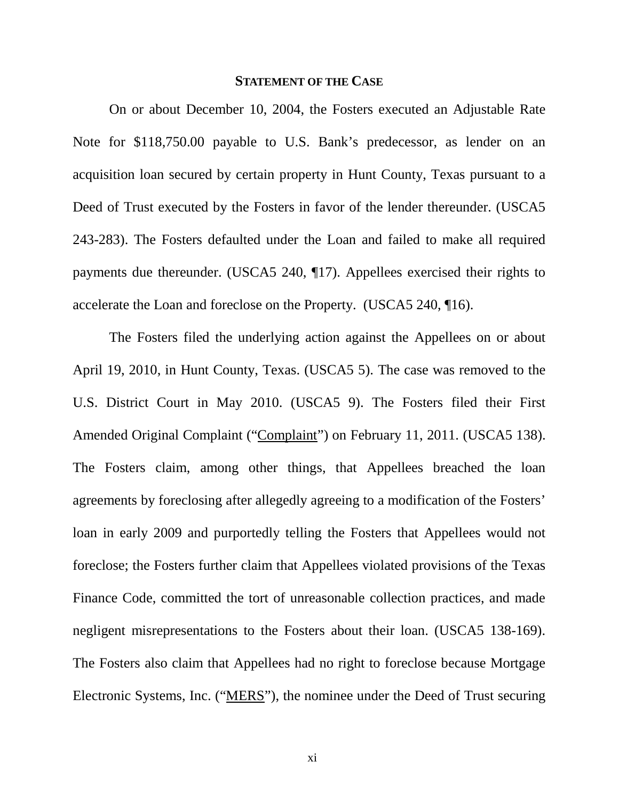#### **STATEMENT OF THE CASE**

On or about December 10, 2004, the Fosters executed an Adjustable Rate Note for \$118,750.00 payable to U.S. Bank's predecessor, as lender on an acquisition loan secured by certain property in Hunt County, Texas pursuant to a Deed of Trust executed by the Fosters in favor of the lender thereunder. (USCA5 243-283). The Fosters defaulted under the Loan and failed to make all required payments due thereunder. (USCA5 240, ¶17). Appellees exercised their rights to accelerate the Loan and foreclose on the Property. (USCA5 240, ¶16).

The Fosters filed the underlying action against the Appellees on or about April 19, 2010, in Hunt County, Texas. (USCA5 5). The case was removed to the U.S. District Court in May 2010. (USCA5 9). The Fosters filed their First Amended Original Complaint ("Complaint") on February 11, 2011. (USCA5 138). The Fosters claim, among other things, that Appellees breached the loan agreements by foreclosing after allegedly agreeing to a modification of the Fosters' loan in early 2009 and purportedly telling the Fosters that Appellees would not foreclose; the Fosters further claim that Appellees violated provisions of the Texas Finance Code, committed the tort of unreasonable collection practices, and made negligent misrepresentations to the Fosters about their loan. (USCA5 138-169). The Fosters also claim that Appellees had no right to foreclose because Mortgage Electronic Systems, Inc. ("MERS"), the nominee under the Deed of Trust securing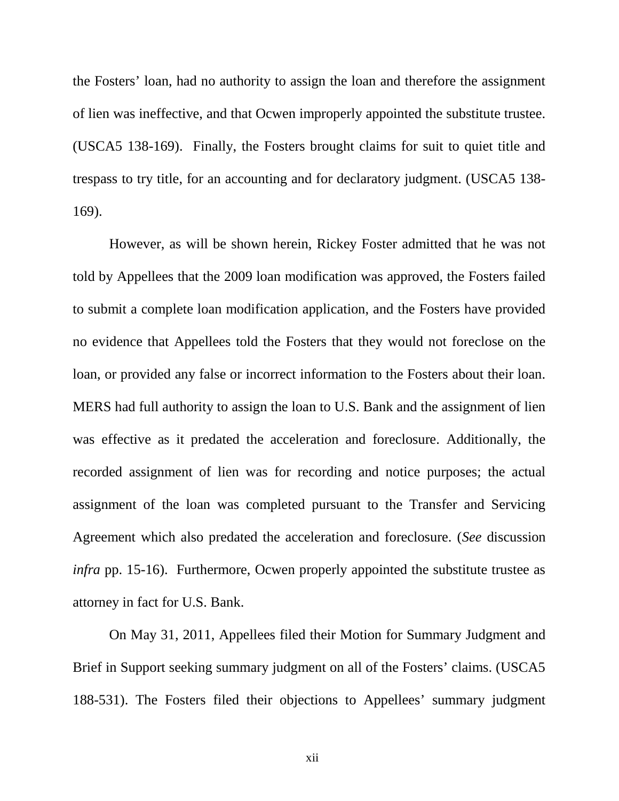the Fosters' loan, had no authority to assign the loan and therefore the assignment of lien was ineffective, and that Ocwen improperly appointed the substitute trustee. (USCA5 138-169). Finally, the Fosters brought claims for suit to quiet title and trespass to try title, for an accounting and for declaratory judgment. (USCA5 138- 169).

However, as will be shown herein, Rickey Foster admitted that he was not told by Appellees that the 2009 loan modification was approved, the Fosters failed to submit a complete loan modification application, and the Fosters have provided no evidence that Appellees told the Fosters that they would not foreclose on the loan, or provided any false or incorrect information to the Fosters about their loan. MERS had full authority to assign the loan to U.S. Bank and the assignment of lien was effective as it predated the acceleration and foreclosure. Additionally, the recorded assignment of lien was for recording and notice purposes; the actual assignment of the loan was completed pursuant to the Transfer and Servicing Agreement which also predated the acceleration and foreclosure. (*See* discussion *infra* pp. 15-16). Furthermore, Ocwen properly appointed the substitute trustee as attorney in fact for U.S. Bank.

On May 31, 2011, Appellees filed their Motion for Summary Judgment and Brief in Support seeking summary judgment on all of the Fosters' claims. (USCA5 188-531). The Fosters filed their objections to Appellees' summary judgment

xii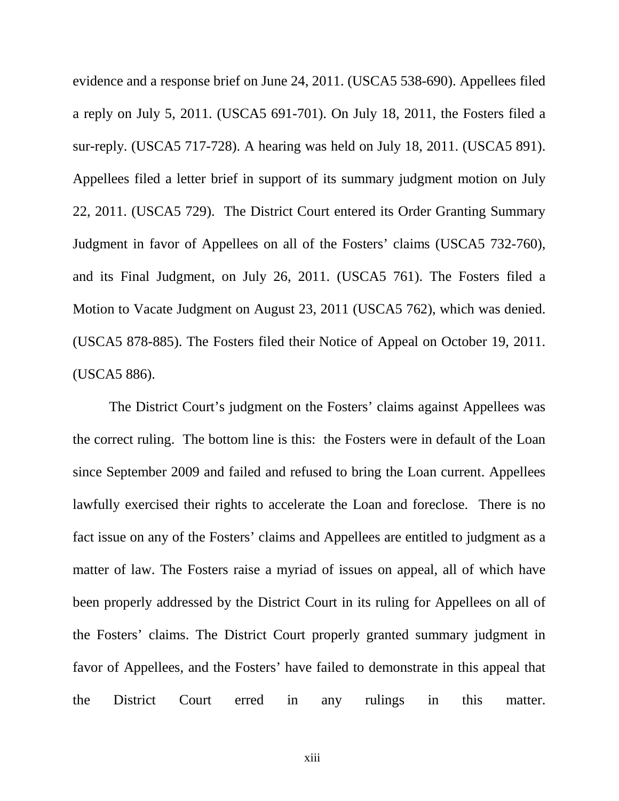evidence and a response brief on June 24, 2011. (USCA5 538-690). Appellees filed a reply on July 5, 2011. (USCA5 691-701). On July 18, 2011, the Fosters filed a sur-reply. (USCA5 717-728). A hearing was held on July 18, 2011. (USCA5 891). Appellees filed a letter brief in support of its summary judgment motion on July 22, 2011. (USCA5 729). The District Court entered its Order Granting Summary Judgment in favor of Appellees on all of the Fosters' claims (USCA5 732-760), and its Final Judgment, on July 26, 2011. (USCA5 761). The Fosters filed a Motion to Vacate Judgment on August 23, 2011 (USCA5 762), which was denied. (USCA5 878-885). The Fosters filed their Notice of Appeal on October 19, 2011. (USCA5 886).

The District Court's judgment on the Fosters' claims against Appellees was the correct ruling. The bottom line is this: the Fosters were in default of the Loan since September 2009 and failed and refused to bring the Loan current. Appellees lawfully exercised their rights to accelerate the Loan and foreclose. There is no fact issue on any of the Fosters' claims and Appellees are entitled to judgment as a matter of law. The Fosters raise a myriad of issues on appeal, all of which have been properly addressed by the District Court in its ruling for Appellees on all of the Fosters' claims. The District Court properly granted summary judgment in favor of Appellees, and the Fosters' have failed to demonstrate in this appeal that the District Court erred in any rulings in this matter.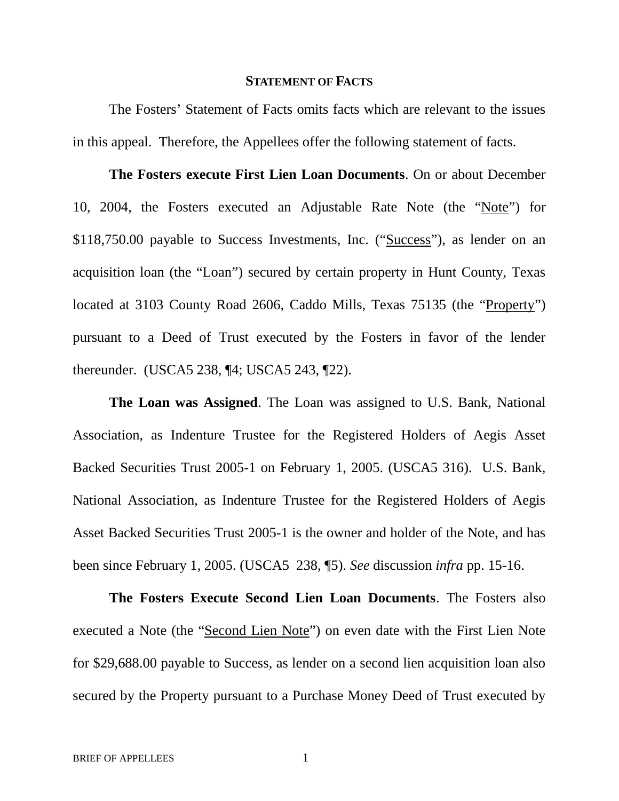#### **STATEMENT OF FACTS**

The Fosters' Statement of Facts omits facts which are relevant to the issues in this appeal. Therefore, the Appellees offer the following statement of facts.

**The Fosters execute First Lien Loan Documents**. On or about December 10, 2004, the Fosters executed an Adjustable Rate Note (the "Note") for \$118,750.00 payable to Success Investments, Inc. ("Success"), as lender on an acquisition loan (the "Loan") secured by certain property in Hunt County, Texas located at 3103 County Road 2606, Caddo Mills, Texas 75135 (the "Property") pursuant to a Deed of Trust executed by the Fosters in favor of the lender thereunder. (USCA5 238, ¶4; USCA5 243, ¶22).

**The Loan was Assigned**. The Loan was assigned to U.S. Bank, National Association, as Indenture Trustee for the Registered Holders of Aegis Asset Backed Securities Trust 2005-1 on February 1, 2005. (USCA5 316). U.S. Bank, National Association, as Indenture Trustee for the Registered Holders of Aegis Asset Backed Securities Trust 2005-1 is the owner and holder of the Note, and has been since February 1, 2005. (USCA5 238, ¶5). *See* discussion *infra* pp. 15-16.

**The Fosters Execute Second Lien Loan Documents**. The Fosters also executed a Note (the "Second Lien Note") on even date with the First Lien Note for \$29,688.00 payable to Success, as lender on a second lien acquisition loan also secured by the Property pursuant to a Purchase Money Deed of Trust executed by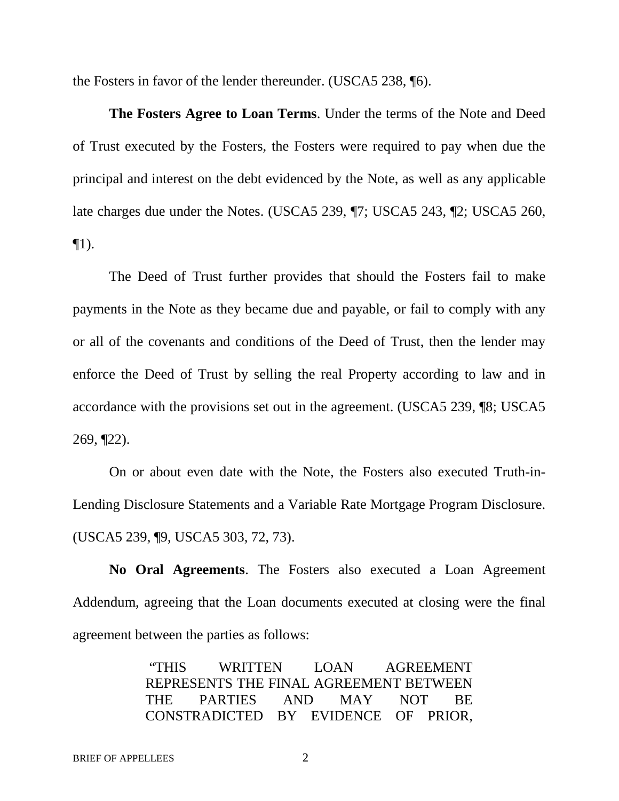the Fosters in favor of the lender thereunder. (USCA5 238, ¶6).

**The Fosters Agree to Loan Terms**. Under the terms of the Note and Deed of Trust executed by the Fosters, the Fosters were required to pay when due the principal and interest on the debt evidenced by the Note, as well as any applicable late charges due under the Notes. (USCA5 239, ¶7; USCA5 243, ¶2; USCA5 260,  $\P1$ ).

The Deed of Trust further provides that should the Fosters fail to make payments in the Note as they became due and payable, or fail to comply with any or all of the covenants and conditions of the Deed of Trust, then the lender may enforce the Deed of Trust by selling the real Property according to law and in accordance with the provisions set out in the agreement. (USCA5 239, ¶8; USCA5 269, ¶22).

On or about even date with the Note, the Fosters also executed Truth-in-Lending Disclosure Statements and a Variable Rate Mortgage Program Disclosure. (USCA5 239, ¶9, USCA5 303, 72, 73).

**No Oral Agreements**. The Fosters also executed a Loan Agreement Addendum, agreeing that the Loan documents executed at closing were the final agreement between the parties as follows:

> "THIS WRITTEN LOAN AGREEMENT REPRESENTS THE FINAL AGREEMENT BETWEEN THE PARTIES AND MAY NOT BE CONSTRADICTED BY EVIDENCE OF PRIOR,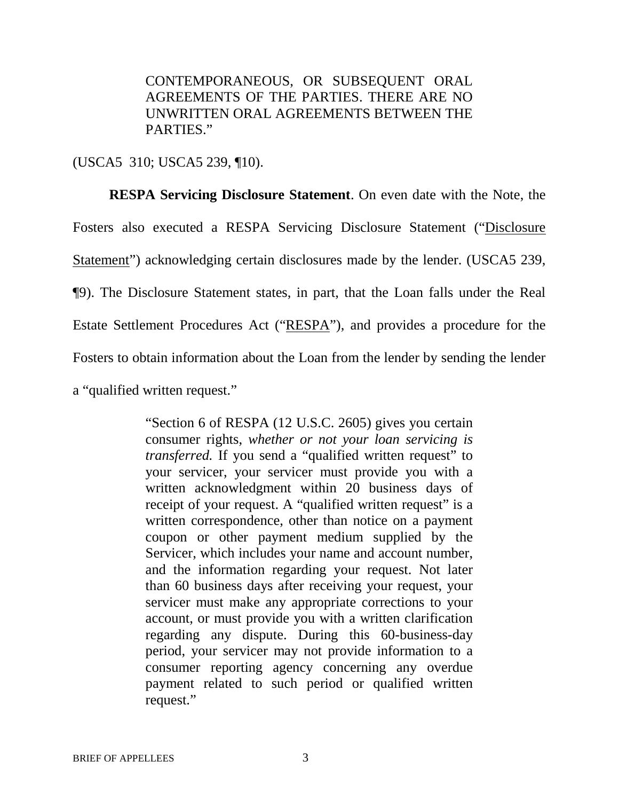CONTEMPORANEOUS, OR SUBSEQUENT ORAL AGREEMENTS OF THE PARTIES. THERE ARE NO UNWRITTEN ORAL AGREEMENTS BETWEEN THE PARTIES."

(USCA5 310; USCA5 239, ¶10).

**RESPA Servicing Disclosure Statement**. On even date with the Note, the Fosters also executed a RESPA Servicing Disclosure Statement ("Disclosure Statement") acknowledging certain disclosures made by the lender. (USCA5 239, ¶9). The Disclosure Statement states, in part, that the Loan falls under the Real Estate Settlement Procedures Act ("RESPA"), and provides a procedure for the Fosters to obtain information about the Loan from the lender by sending the lender a "qualified written request."

> "Section 6 of RESPA (12 U.S.C. 2605) gives you certain consumer rights, *whether or not your loan servicing is transferred.* If you send a "qualified written request" to your servicer, your servicer must provide you with a written acknowledgment within 20 business days of receipt of your request. A "qualified written request" is a written correspondence, other than notice on a payment coupon or other payment medium supplied by the Servicer, which includes your name and account number, and the information regarding your request. Not later than 60 business days after receiving your request, your servicer must make any appropriate corrections to your account, or must provide you with a written clarification regarding any dispute. During this 60-business-day period, your servicer may not provide information to a consumer reporting agency concerning any overdue payment related to such period or qualified written request."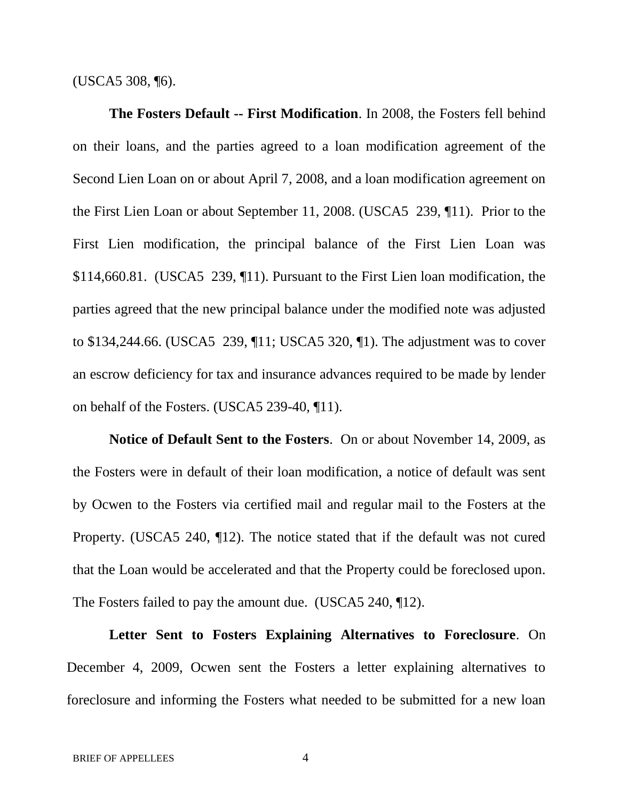(USCA5 308, ¶6).

**The Fosters Default -- First Modification**. In 2008, the Fosters fell behind on their loans, and the parties agreed to a loan modification agreement of the Second Lien Loan on or about April 7, 2008, and a loan modification agreement on the First Lien Loan or about September 11, 2008. (USCA5 239, ¶11). Prior to the First Lien modification, the principal balance of the First Lien Loan was \$114,660.81. (USCA5 239, ¶11). Pursuant to the First Lien loan modification, the parties agreed that the new principal balance under the modified note was adjusted to \$134,244.66. (USCA5 239, ¶11; USCA5 320, ¶1). The adjustment was to cover an escrow deficiency for tax and insurance advances required to be made by lender on behalf of the Fosters. (USCA5 239-40, ¶11).

**Notice of Default Sent to the Fosters**. On or about November 14, 2009, as the Fosters were in default of their loan modification, a notice of default was sent by Ocwen to the Fosters via certified mail and regular mail to the Fosters at the Property. (USCA5 240, ¶12). The notice stated that if the default was not cured that the Loan would be accelerated and that the Property could be foreclosed upon. The Fosters failed to pay the amount due. (USCA5 240, 12).

**Letter Sent to Fosters Explaining Alternatives to Foreclosure**. On December 4, 2009, Ocwen sent the Fosters a letter explaining alternatives to foreclosure and informing the Fosters what needed to be submitted for a new loan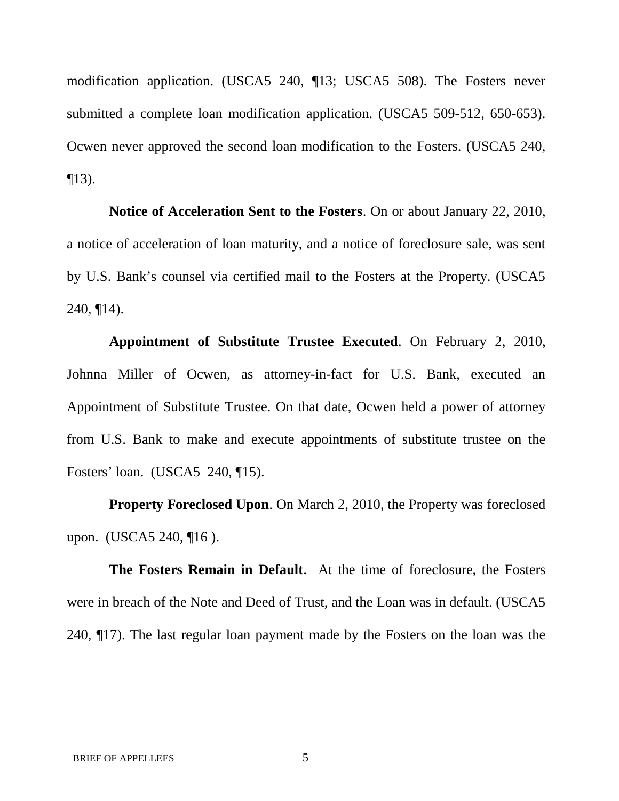modification application. (USCA5 240, ¶13; USCA5 508). The Fosters never submitted a complete loan modification application. (USCA5 509-512, 650-653). Ocwen never approved the second loan modification to the Fosters. (USCA5 240,  $\P$ 13).

**Notice of Acceleration Sent to the Fosters**. On or about January 22, 2010, a notice of acceleration of loan maturity, and a notice of foreclosure sale, was sent by U.S. Bank's counsel via certified mail to the Fosters at the Property. (USCA5 240, ¶14).

**Appointment of Substitute Trustee Executed**. On February 2, 2010, Johnna Miller of Ocwen, as attorney-in-fact for U.S. Bank, executed an Appointment of Substitute Trustee. On that date, Ocwen held a power of attorney from U.S. Bank to make and execute appointments of substitute trustee on the Fosters' loan. (USCA5 240, ¶15).

**Property Foreclosed Upon**. On March 2, 2010, the Property was foreclosed upon. (USCA5 240, ¶16).

**The Fosters Remain in Default**. At the time of foreclosure, the Fosters were in breach of the Note and Deed of Trust, and the Loan was in default. (USCA5 240, ¶17). The last regular loan payment made by the Fosters on the loan was the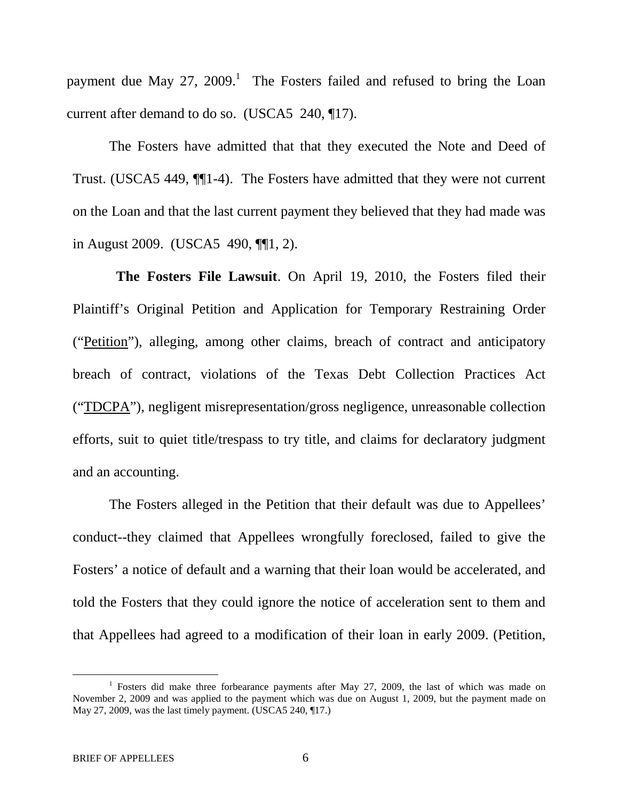payment due May 27, 2009.<sup>1</sup> The Fosters failed and refused to bring the Loan current after demand to do so. (USCA5 240, ¶17).

The Fosters have admitted that that they executed the Note and Deed of Trust. (USCA5 449, ¶¶1-4). The Fosters have admitted that they were not current on the Loan and that the last current payment they believed that they had made was in August 2009. (USCA5 490, ¶¶1, 2).

**The Fosters File Lawsuit**. On April 19, 2010, the Fosters filed their Plaintiff's Original Petition and Application for Temporary Restraining Order ("Petition"), alleging, among other claims, breach of contract and anticipatory breach of contract, violations of the Texas Debt Collection Practices Act ("TDCPA"), negligent misrepresentation/gross negligence, unreasonable collection efforts, suit to quiet title/trespass to try title, and claims for declaratory judgment and an accounting.

The Fosters alleged in the Petition that their default was due to Appellees' conduct--they claimed that Appellees wrongfully foreclosed, failed to give the Fosters' a notice of default and a warning that their loan would be accelerated, and told the Fosters that they could ignore the notice of acceleration sent to them and that Appellees had agreed to a modification of their loan in early 2009. (Petition,

<sup>&</sup>lt;sup>1</sup> Fosters did make three forbearance payments after May 27, 2009, the last of which was made on November 2, 2009 and was applied to the payment which was due on August 1, 2009, but the payment made on May 27, 2009, was the last timely payment. (USCA5 240, ¶17.)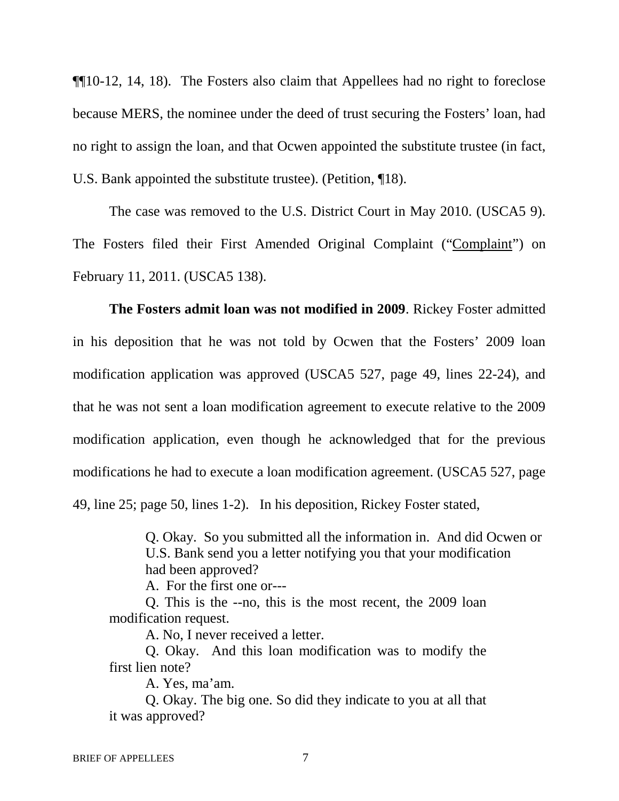¶¶10-12, 14, 18). The Fosters also claim that Appellees had no right to foreclose because MERS, the nominee under the deed of trust securing the Fosters' loan, had no right to assign the loan, and that Ocwen appointed the substitute trustee (in fact, U.S. Bank appointed the substitute trustee). (Petition, ¶18).

The case was removed to the U.S. District Court in May 2010. (USCA5 9). The Fosters filed their First Amended Original Complaint ("Complaint") on February 11, 2011. (USCA5 138).

**The Fosters admit loan was not modified in 2009**. Rickey Foster admitted in his deposition that he was not told by Ocwen that the Fosters' 2009 loan modification application was approved (USCA5 527, page 49, lines 22-24), and that he was not sent a loan modification agreement to execute relative to the 2009 modification application, even though he acknowledged that for the previous modifications he had to execute a loan modification agreement. (USCA5 527, page 49, line 25; page 50, lines 1-2). In his deposition, Rickey Foster stated,

> Q. Okay. So you submitted all the information in. And did Ocwen or U.S. Bank send you a letter notifying you that your modification had been approved?

A. For the first one or---

Q. This is the --no, this is the most recent, the 2009 loan modification request.

A. No, I never received a letter.

Q. Okay. And this loan modification was to modify the first lien note?

A. Yes, ma'am.

Q. Okay. The big one. So did they indicate to you at all that it was approved?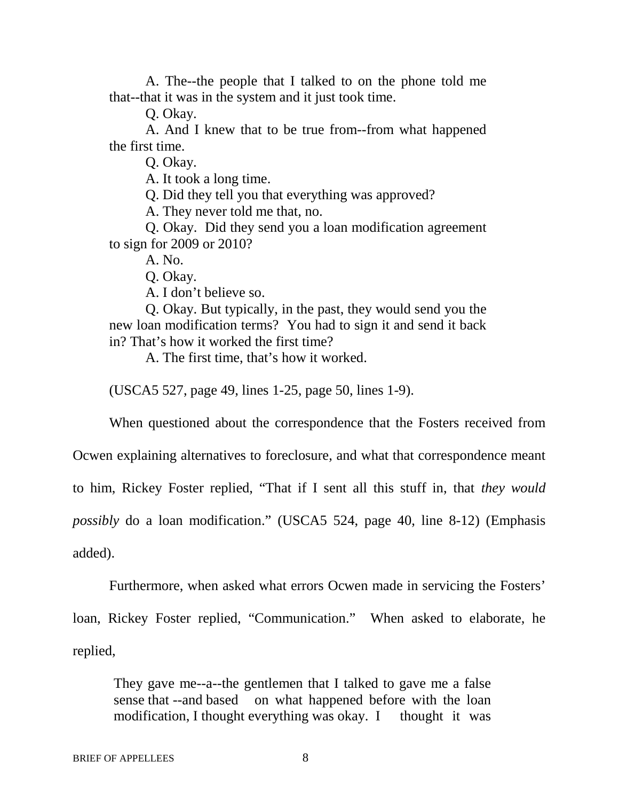A. The--the people that I talked to on the phone told me that--that it was in the system and it just took time.

Q. Okay.

A. And I knew that to be true from--from what happened the first time.

Q. Okay.

A. It took a long time.

Q. Did they tell you that everything was approved?

A. They never told me that, no.

Q. Okay. Did they send you a loan modification agreement to sign for 2009 or 2010?

A. No.

Q. Okay.

A. I don't believe so.

Q. Okay. But typically, in the past, they would send you the new loan modification terms? You had to sign it and send it back in? That's how it worked the first time?

A. The first time, that's how it worked.

(USCA5 527, page 49, lines 1-25, page 50, lines 1-9).

When questioned about the correspondence that the Fosters received from

Ocwen explaining alternatives to foreclosure, and what that correspondence meant

to him, Rickey Foster replied, "That if I sent all this stuff in, that *they would*

*possibly* do a loan modification." (USCA5 524, page 40, line 8-12) (Emphasis

added).

Furthermore, when asked what errors Ocwen made in servicing the Fosters'

loan, Rickey Foster replied, "Communication." When asked to elaborate, he replied,

They gave me--a--the gentlemen that I talked to gave me a false sense that --and based on what happened before with the loan modification, I thought everything was okay. I thought it was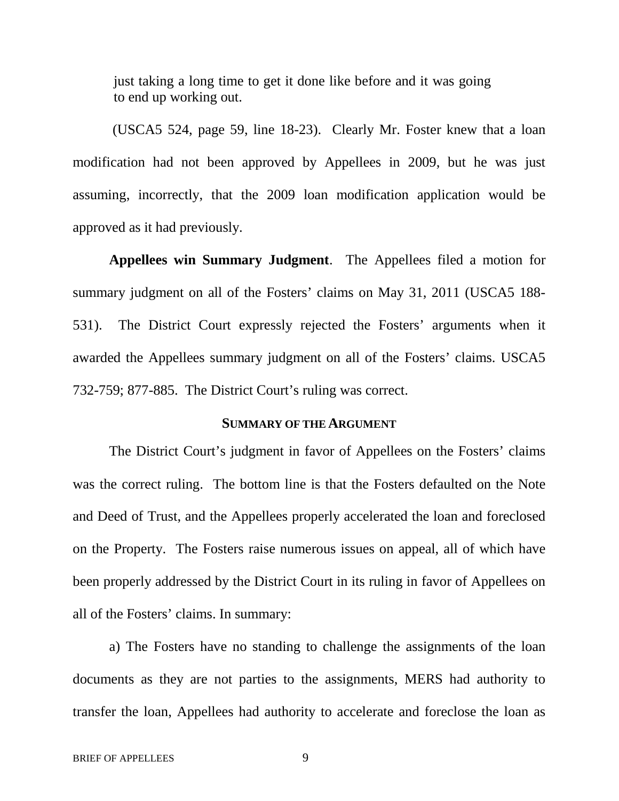just taking a long time to get it done like before and it was going to end up working out.

(USCA5 524, page 59, line 18-23). Clearly Mr. Foster knew that a loan modification had not been approved by Appellees in 2009, but he was just assuming, incorrectly, that the 2009 loan modification application would be approved as it had previously.

**Appellees win Summary Judgment**. The Appellees filed a motion for summary judgment on all of the Fosters' claims on May 31, 2011 (USCA5 188- 531). The District Court expressly rejected the Fosters' arguments when it awarded the Appellees summary judgment on all of the Fosters' claims. USCA5 732-759; 877-885. The District Court's ruling was correct.

### **SUMMARY OF THE ARGUMENT**

The District Court's judgment in favor of Appellees on the Fosters' claims was the correct ruling. The bottom line is that the Fosters defaulted on the Note and Deed of Trust, and the Appellees properly accelerated the loan and foreclosed on the Property. The Fosters raise numerous issues on appeal, all of which have been properly addressed by the District Court in its ruling in favor of Appellees on all of the Fosters' claims. In summary:

a) The Fosters have no standing to challenge the assignments of the loan documents as they are not parties to the assignments, MERS had authority to transfer the loan, Appellees had authority to accelerate and foreclose the loan as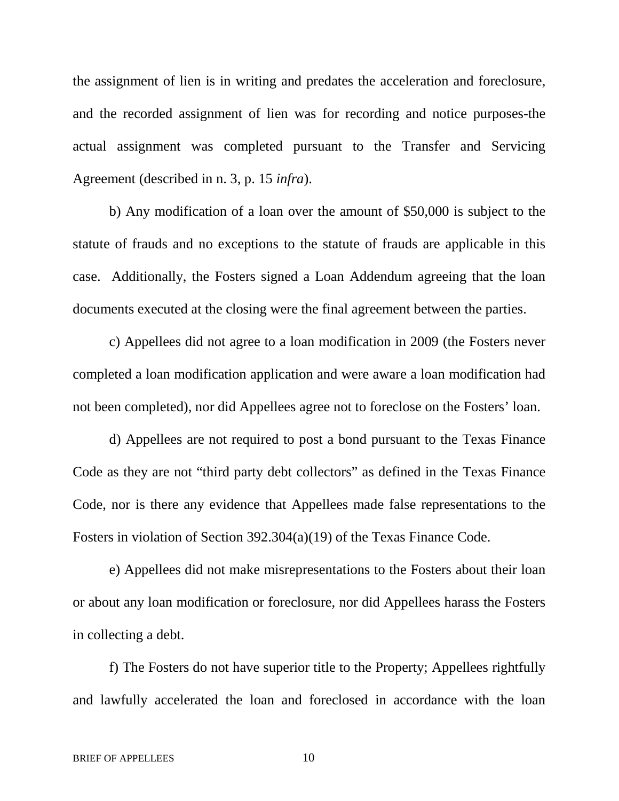the assignment of lien is in writing and predates the acceleration and foreclosure, and the recorded assignment of lien was for recording and notice purposes-the actual assignment was completed pursuant to the Transfer and Servicing Agreement (described in n. 3, p. 15 *infra*).

b) Any modification of a loan over the amount of \$50,000 is subject to the statute of frauds and no exceptions to the statute of frauds are applicable in this case. Additionally, the Fosters signed a Loan Addendum agreeing that the loan documents executed at the closing were the final agreement between the parties.

c) Appellees did not agree to a loan modification in 2009 (the Fosters never completed a loan modification application and were aware a loan modification had not been completed), nor did Appellees agree not to foreclose on the Fosters' loan.

d) Appellees are not required to post a bond pursuant to the Texas Finance Code as they are not "third party debt collectors" as defined in the Texas Finance Code, nor is there any evidence that Appellees made false representations to the Fosters in violation of Section 392.304(a)(19) of the Texas Finance Code.

e) Appellees did not make misrepresentations to the Fosters about their loan or about any loan modification or foreclosure, nor did Appellees harass the Fosters in collecting a debt.

f) The Fosters do not have superior title to the Property; Appellees rightfully and lawfully accelerated the loan and foreclosed in accordance with the loan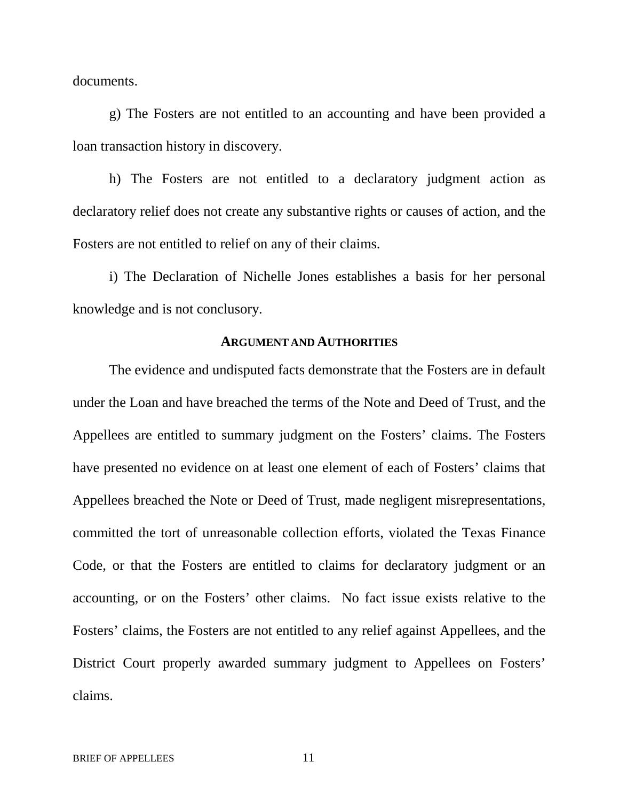documents.

g) The Fosters are not entitled to an accounting and have been provided a loan transaction history in discovery.

h) The Fosters are not entitled to a declaratory judgment action as declaratory relief does not create any substantive rights or causes of action, and the Fosters are not entitled to relief on any of their claims.

i) The Declaration of Nichelle Jones establishes a basis for her personal knowledge and is not conclusory.

#### **ARGUMENT AND AUTHORITIES**

The evidence and undisputed facts demonstrate that the Fosters are in default under the Loan and have breached the terms of the Note and Deed of Trust, and the Appellees are entitled to summary judgment on the Fosters' claims. The Fosters have presented no evidence on at least one element of each of Fosters' claims that Appellees breached the Note or Deed of Trust, made negligent misrepresentations, committed the tort of unreasonable collection efforts, violated the Texas Finance Code, or that the Fosters are entitled to claims for declaratory judgment or an accounting, or on the Fosters' other claims. No fact issue exists relative to the Fosters' claims, the Fosters are not entitled to any relief against Appellees, and the District Court properly awarded summary judgment to Appellees on Fosters' claims.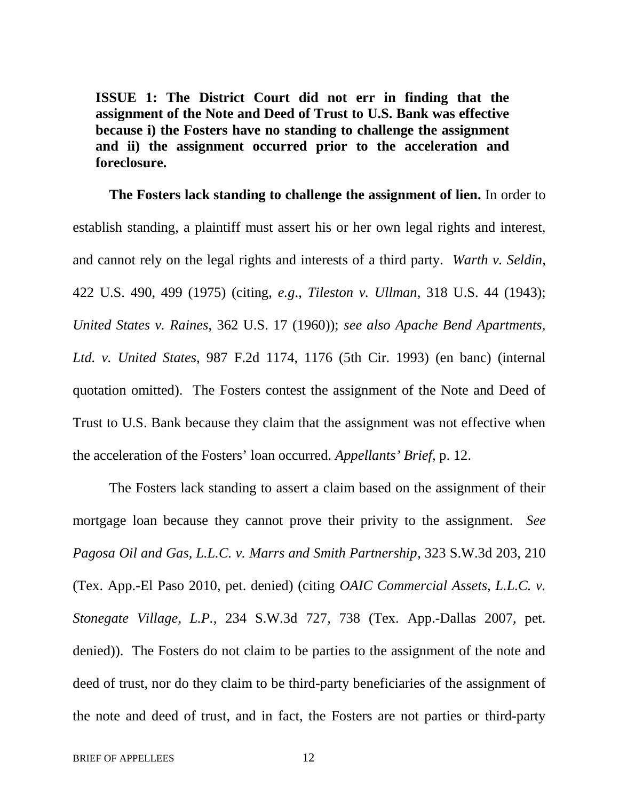**ISSUE 1: The District Court did not err in finding that the assignment of the Note and Deed of Trust to U.S. Bank was effective because i) the Fosters have no standing to challenge the assignment and ii) the assignment occurred prior to the acceleration and foreclosure.**

**The Fosters lack standing to challenge the assignment of lien.** In order to establish standing, a plaintiff must assert his or her own legal rights and interest, and cannot rely on the legal rights and interests of a third party. *Warth v. Seldin*, 422 U.S. 490, 499 (1975) (citing, *e.g*., *Tileston v. Ullman*, 318 U.S. 44 (1943); *United States v. Raines*, 362 U.S. 17 (1960)); *see also Apache Bend Apartments, Ltd. v. United States*, 987 F.2d 1174, 1176 (5th Cir. 1993) (en banc) (internal quotation omitted). The Fosters contest the assignment of the Note and Deed of Trust to U.S. Bank because they claim that the assignment was not effective when the acceleration of the Fosters' loan occurred. *Appellants' Brief,* p. 12.

The Fosters lack standing to assert a claim based on the assignment of their mortgage loan because they cannot prove their privity to the assignment. *See Pagosa Oil and Gas, L.L.C. v. Marrs and Smith Partnership*, 323 S.W.3d 203, 210 (Tex. App.-El Paso 2010, pet. denied) (citing *OAIC Commercial Assets, L.L.C. v. Stonegate Village, L.P.*, 234 S.W.3d 727, 738 (Tex. App.-Dallas 2007, pet. denied)). The Fosters do not claim to be parties to the assignment of the note and deed of trust, nor do they claim to be third-party beneficiaries of the assignment of the note and deed of trust, and in fact, the Fosters are not parties or third-party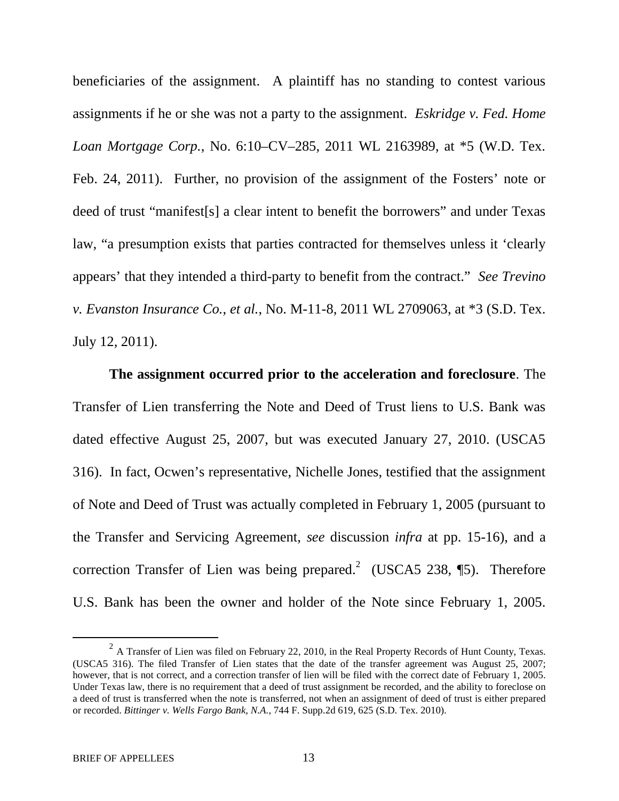beneficiaries of the assignment. A plaintiff has no standing to contest various assignments if he or she was not a party to the assignment. *Eskridge v. Fed. Home Loan Mortgage Corp.*, No. 6:10–CV–285, 2011 WL 2163989, at \*5 (W.D. Tex. Feb. 24, 2011). Further, no provision of the assignment of the Fosters' note or deed of trust "manifest[s] a clear intent to benefit the borrowers" and under Texas law, "a presumption exists that parties contracted for themselves unless it 'clearly appears' that they intended a third-party to benefit from the contract." *See Trevino v. Evanston Insurance Co.*, *et al.*, No. M-11-8, 2011 WL 2709063, at \*3 (S.D. Tex. July 12, 2011).

**The assignment occurred prior to the acceleration and foreclosure**. The Transfer of Lien transferring the Note and Deed of Trust liens to U.S. Bank was dated effective August 25, 2007, but was executed January 27, 2010. (USCA5 316). In fact, Ocwen's representative, Nichelle Jones, testified that the assignment of Note and Deed of Trust was actually completed in February 1, 2005 (pursuant to the Transfer and Servicing Agreement, *see* discussion *infra* at pp. 15-16), and a correction Transfer of Lien was being prepared.<sup>2</sup> (USCA5 238, [5). Therefore U.S. Bank has been the owner and holder of the Note since February 1, 2005.

<sup>&</sup>lt;sup>2</sup> A Transfer of Lien was filed on February 22, 2010, in the Real Property Records of Hunt County, Texas. (USCA5 316). The filed Transfer of Lien states that the date of the transfer agreement was August 25, 2007; however, that is not correct, and a correction transfer of lien will be filed with the correct date of February 1, 2005. Under Texas law, there is no requirement that a deed of trust assignment be recorded, and the ability to foreclose on a deed of trust is transferred when the note is transferred, not when an assignment of deed of trust is either prepared or recorded. *Bittinger v. Wells Fargo Bank, N.A.,* 744 F. Supp.2d 619, 625 (S.D. Tex. 2010).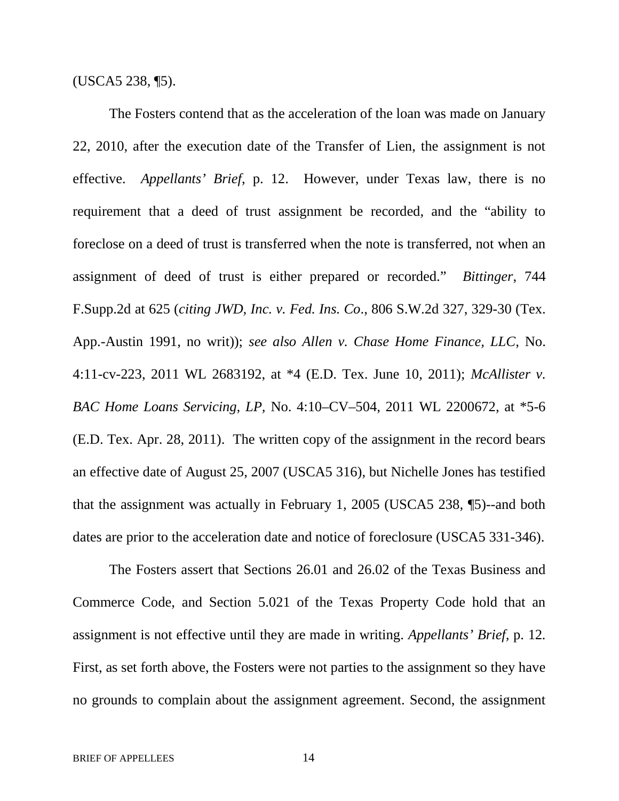(USCA5 238, ¶5).

The Fosters contend that as the acceleration of the loan was made on January 22, 2010, after the execution date of the Transfer of Lien, the assignment is not effective. *Appellants' Brief*, p. 12. However, under Texas law, there is no requirement that a deed of trust assignment be recorded, and the "ability to foreclose on a deed of trust is transferred when the note is transferred, not when an assignment of deed of trust is either prepared or recorded." *Bittinger*, 744 F.Supp.2d at 625 (*citing JWD, Inc. v. Fed. Ins. Co*., 806 S.W.2d 327, 329-30 (Tex. App.-Austin 1991, no writ)); *see also Allen v. Chase Home Finance, LLC*, No. 4:11-cv-223, 2011 WL 2683192, at \*4 (E.D. Tex. June 10, 2011); *McAllister v. BAC Home Loans Servicing, LP,* No. 4:10–CV–504, 2011 WL 2200672, at \*5-6 (E.D. Tex. Apr. 28, 2011). The written copy of the assignment in the record bears an effective date of August 25, 2007 (USCA5 316), but Nichelle Jones has testified that the assignment was actually in February 1, 2005 (USCA5 238, ¶5)--and both dates are prior to the acceleration date and notice of foreclosure (USCA5 331-346).

The Fosters assert that Sections 26.01 and 26.02 of the Texas Business and Commerce Code, and Section 5.021 of the Texas Property Code hold that an assignment is not effective until they are made in writing. *Appellants' Brief,* p. 12*.* First, as set forth above, the Fosters were not parties to the assignment so they have no grounds to complain about the assignment agreement. Second, the assignment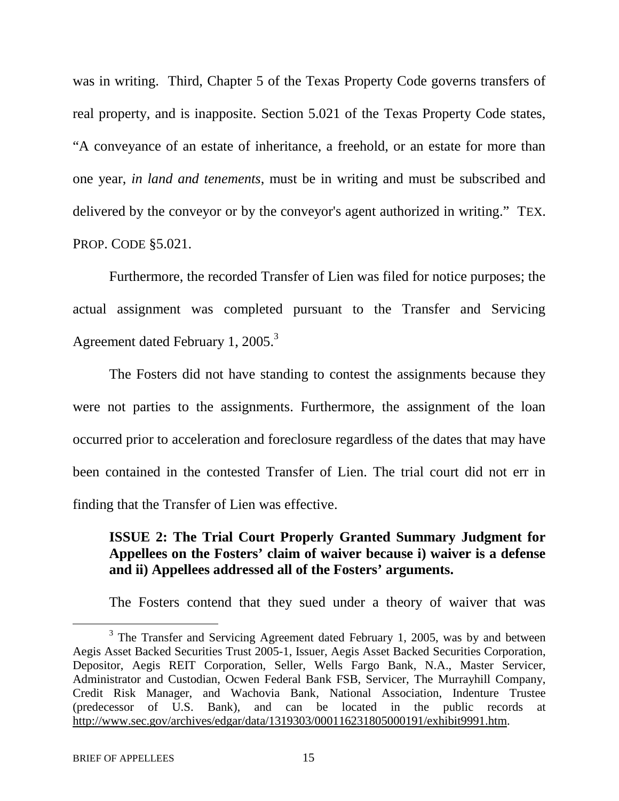was in writing. Third, Chapter 5 of the Texas Property Code governs transfers of real property, and is inapposite. Section 5.021 of the Texas Property Code states, "A conveyance of an estate of inheritance, a freehold, or an estate for more than one year, *in land and tenements*, must be in writing and must be subscribed and delivered by the conveyor or by the conveyor's agent authorized in writing." TEX. PROP. CODE §5.021.

Furthermore, the recorded Transfer of Lien was filed for notice purposes; the actual assignment was completed pursuant to the Transfer and Servicing Agreement dated February 1, 2005.<sup>3</sup>

The Fosters did not have standing to contest the assignments because they were not parties to the assignments. Furthermore, the assignment of the loan occurred prior to acceleration and foreclosure regardless of the dates that may have been contained in the contested Transfer of Lien. The trial court did not err in finding that the Transfer of Lien was effective.

# **ISSUE 2: The Trial Court Properly Granted Summary Judgment for Appellees on the Fosters' claim of waiver because i) waiver is a defense and ii) Appellees addressed all of the Fosters' arguments.**

The Fosters contend that they sued under a theory of waiver that was

 $3$  The Transfer and Servicing Agreement dated February 1, 2005, was by and between Aegis Asset Backed Securities Trust 2005-1, Issuer, Aegis Asset Backed Securities Corporation, Depositor, Aegis REIT Corporation, Seller, Wells Fargo Bank, N.A., Master Servicer, Administrator and Custodian, Ocwen Federal Bank FSB, Servicer, The Murrayhill Company, Credit Risk Manager, and Wachovia Bank, National Association, Indenture Trustee (predecessor of U.S. Bank), and can be located in the public records at http://www.sec.gov/archives/edgar/data/1319303/000116231805000191/exhibit9991.htm.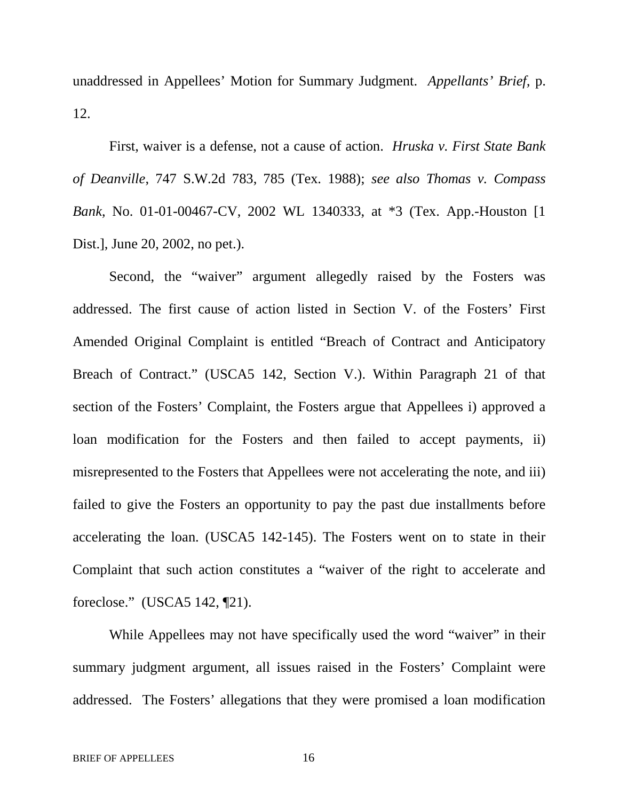unaddressed in Appellees' Motion for Summary Judgment. *Appellants' Brief,* p. 12.

First, waiver is a defense, not a cause of action. *Hruska v. First State Bank of Deanville*, 747 S.W.2d 783, 785 (Tex. 1988); *see also Thomas v. Compass Bank*, No. 01-01-00467-CV, 2002 WL 1340333, at \*3 (Tex. App.-Houston [1 Dist.], June 20, 2002, no pet.).

Second, the "waiver" argument allegedly raised by the Fosters was addressed. The first cause of action listed in Section V. of the Fosters' First Amended Original Complaint is entitled "Breach of Contract and Anticipatory Breach of Contract." (USCA5 142, Section V.). Within Paragraph 21 of that section of the Fosters' Complaint, the Fosters argue that Appellees i) approved a loan modification for the Fosters and then failed to accept payments, ii) misrepresented to the Fosters that Appellees were not accelerating the note, and iii) failed to give the Fosters an opportunity to pay the past due installments before accelerating the loan. (USCA5 142-145). The Fosters went on to state in their Complaint that such action constitutes a "waiver of the right to accelerate and foreclose." (USCA5 142, ¶21).

While Appellees may not have specifically used the word "waiver" in their summary judgment argument, all issues raised in the Fosters' Complaint were addressed. The Fosters' allegations that they were promised a loan modification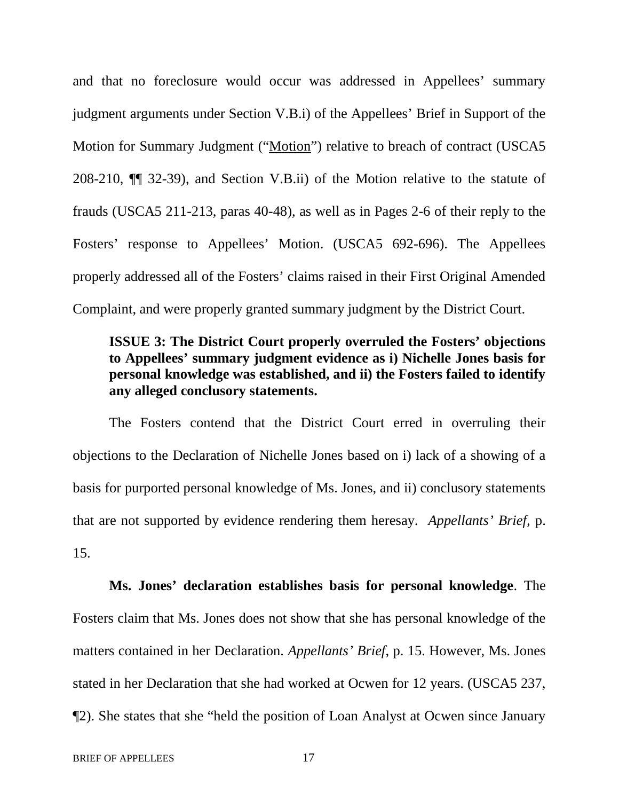and that no foreclosure would occur was addressed in Appellees' summary judgment arguments under Section V.B.i) of the Appellees' Brief in Support of the Motion for Summary Judgment ("Motion") relative to breach of contract (USCA5 208-210, ¶¶ 32-39), and Section V.B.ii) of the Motion relative to the statute of frauds (USCA5 211-213, paras 40-48), as well as in Pages 2-6 of their reply to the Fosters' response to Appellees' Motion. (USCA5 692-696). The Appellees properly addressed all of the Fosters' claims raised in their First Original Amended Complaint, and were properly granted summary judgment by the District Court.

### **ISSUE 3: The District Court properly overruled the Fosters' objections to Appellees' summary judgment evidence as i) Nichelle Jones basis for personal knowledge was established, and ii) the Fosters failed to identify any alleged conclusory statements.**

The Fosters contend that the District Court erred in overruling their objections to the Declaration of Nichelle Jones based on i) lack of a showing of a basis for purported personal knowledge of Ms. Jones, and ii) conclusory statements that are not supported by evidence rendering them heresay. *Appellants' Brief,* p. 15.

**Ms. Jones' declaration establishes basis for personal knowledge**. The Fosters claim that Ms. Jones does not show that she has personal knowledge of the matters contained in her Declaration. *Appellants' Brief*, p. 15. However, Ms. Jones stated in her Declaration that she had worked at Ocwen for 12 years. (USCA5 237, ¶2). She states that she "held the position of Loan Analyst at Ocwen since January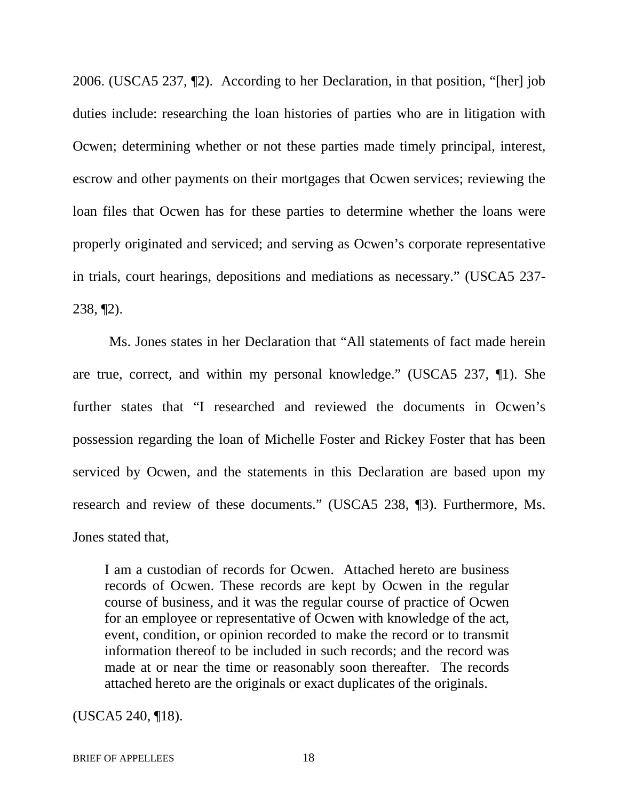2006. (USCA5 237, ¶2). According to her Declaration, in that position, "[her] job duties include: researching the loan histories of parties who are in litigation with Ocwen; determining whether or not these parties made timely principal, interest, escrow and other payments on their mortgages that Ocwen services; reviewing the loan files that Ocwen has for these parties to determine whether the loans were properly originated and serviced; and serving as Ocwen's corporate representative in trials, court hearings, depositions and mediations as necessary." (USCA5 237- 238, ¶2).

Ms. Jones states in her Declaration that "All statements of fact made herein are true, correct, and within my personal knowledge." (USCA5 237, ¶1). She further states that "I researched and reviewed the documents in Ocwen's possession regarding the loan of Michelle Foster and Rickey Foster that has been serviced by Ocwen, and the statements in this Declaration are based upon my research and review of these documents." (USCA5 238, ¶3). Furthermore, Ms. Jones stated that,

I am a custodian of records for Ocwen. Attached hereto are business records of Ocwen. These records are kept by Ocwen in the regular course of business, and it was the regular course of practice of Ocwen for an employee or representative of Ocwen with knowledge of the act, event, condition, or opinion recorded to make the record or to transmit information thereof to be included in such records; and the record was made at or near the time or reasonably soon thereafter. The records attached hereto are the originals or exact duplicates of the originals.

(USCA5 240, ¶18).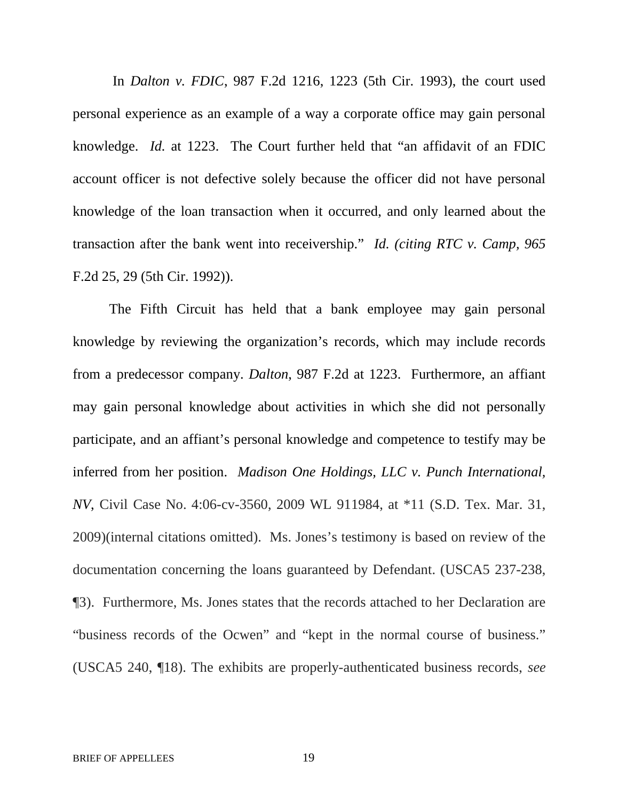In *Dalton v. FDIC*, 987 F.2d 1216, 1223 (5th Cir. 1993), the court used personal experience as an example of a way a corporate office may gain personal knowledge. *Id.* at 1223. The Court further held that "an affidavit of an FDIC account officer is not defective solely because the officer did not have personal knowledge of the loan transaction when it occurred, and only learned about the transaction after the bank went into receivership." *Id. (citing RTC v. Camp, 965* F.2d 25, 29 (5th Cir. 1992)).

The Fifth Circuit has held that a bank employee may gain personal knowledge by reviewing the organization's records, which may include records from a predecessor company. *Dalton*, 987 F.2d at 1223. Furthermore, an affiant may gain personal knowledge about activities in which she did not personally participate, and an affiant's personal knowledge and competence to testify may be inferred from her position. *Madison One Holdings, LLC v. Punch International, NV*, Civil Case No. 4:06-cv-3560, 2009 WL 911984, at \*11 (S.D. Tex. Mar. 31, 2009)(internal citations omitted). Ms. Jones's testimony is based on review of the documentation concerning the loans guaranteed by Defendant. (USCA5 237-238, ¶3). Furthermore, Ms. Jones states that the records attached to her Declaration are "business records of the Ocwen" and "kept in the normal course of business." (USCA5 240, ¶18). The exhibits are properly-authenticated business records, *see*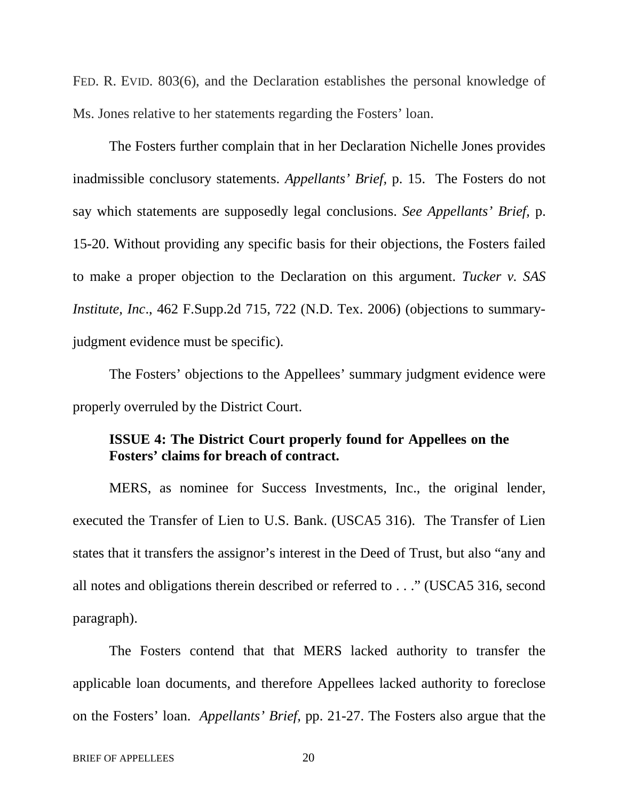FED. R. EVID. 803(6), and the Declaration establishes the personal knowledge of Ms. Jones relative to her statements regarding the Fosters' loan.

The Fosters further complain that in her Declaration Nichelle Jones provides inadmissible conclusory statements. *Appellants' Brief,* p. 15. The Fosters do not say which statements are supposedly legal conclusions. *See Appellants' Brief,* p. 15-20. Without providing any specific basis for their objections, the Fosters failed to make a proper objection to the Declaration on this argument. *Tucker v. SAS Institute, Inc*., 462 F.Supp.2d 715, 722 (N.D. Tex. 2006) (objections to summaryjudgment evidence must be specific).

The Fosters' objections to the Appellees' summary judgment evidence were properly overruled by the District Court.

## **ISSUE 4: The District Court properly found for Appellees on the Fosters' claims for breach of contract.**

MERS, as nominee for Success Investments, Inc., the original lender, executed the Transfer of Lien to U.S. Bank. (USCA5 316). The Transfer of Lien states that it transfers the assignor's interest in the Deed of Trust, but also "any and all notes and obligations therein described or referred to . . ." (USCA5 316, second paragraph).

The Fosters contend that that MERS lacked authority to transfer the applicable loan documents, and therefore Appellees lacked authority to foreclose on the Fosters' loan. *Appellants' Brief,* pp. 21-27. The Fosters also argue that the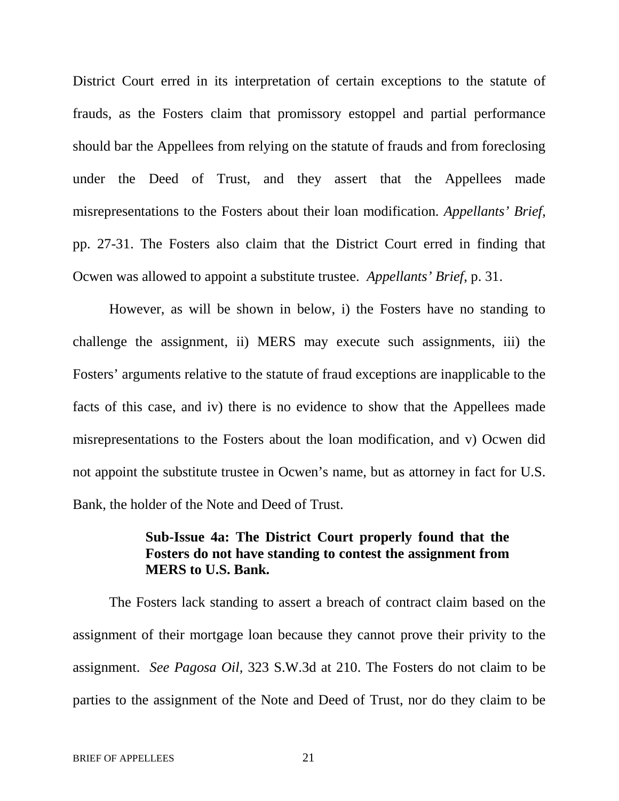District Court erred in its interpretation of certain exceptions to the statute of frauds, as the Fosters claim that promissory estoppel and partial performance should bar the Appellees from relying on the statute of frauds and from foreclosing under the Deed of Trust, and they assert that the Appellees made misrepresentations to the Fosters about their loan modification. *Appellants' Brief*, pp. 27-31. The Fosters also claim that the District Court erred in finding that Ocwen was allowed to appoint a substitute trustee. *Appellants' Brief*, p. 31.

However, as will be shown in below, i) the Fosters have no standing to challenge the assignment, ii) MERS may execute such assignments, iii) the Fosters' arguments relative to the statute of fraud exceptions are inapplicable to the facts of this case, and iv) there is no evidence to show that the Appellees made misrepresentations to the Fosters about the loan modification, and v) Ocwen did not appoint the substitute trustee in Ocwen's name, but as attorney in fact for U.S. Bank, the holder of the Note and Deed of Trust.

### **Sub-Issue 4a: The District Court properly found that the Fosters do not have standing to contest the assignment from MERS to U.S. Bank.**

The Fosters lack standing to assert a breach of contract claim based on the assignment of their mortgage loan because they cannot prove their privity to the assignment. *See Pagosa Oil,* 323 S.W.3d at 210. The Fosters do not claim to be parties to the assignment of the Note and Deed of Trust, nor do they claim to be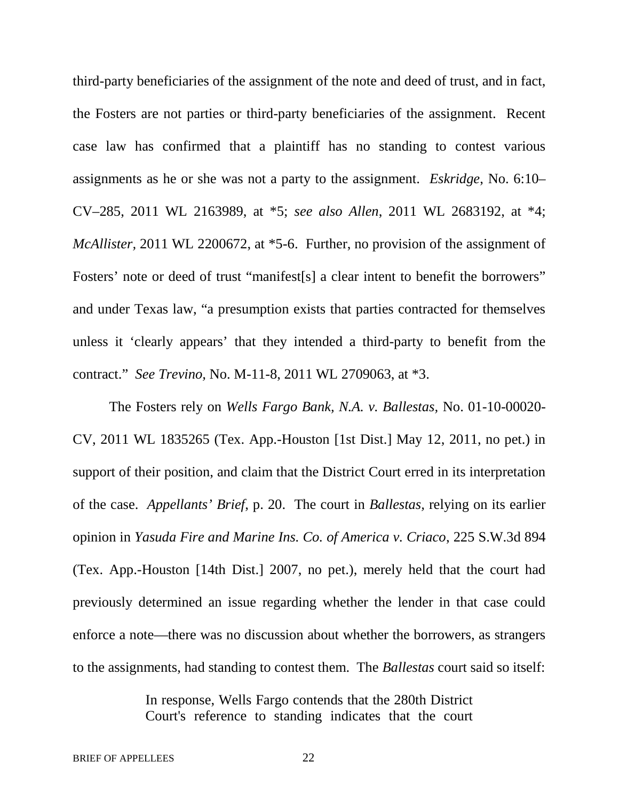third-party beneficiaries of the assignment of the note and deed of trust, and in fact, the Fosters are not parties or third-party beneficiaries of the assignment. Recent case law has confirmed that a plaintiff has no standing to contest various assignments as he or she was not a party to the assignment. *Eskridge*, No. 6:10– CV–285, 2011 WL 2163989, at \*5; *see also Allen*, 2011 WL 2683192, at \*4; *McAllister*, 2011 WL 2200672, at \*5-6. Further, no provision of the assignment of Fosters' note or deed of trust "manifest[s] a clear intent to benefit the borrowers" and under Texas law, "a presumption exists that parties contracted for themselves unless it 'clearly appears' that they intended a third-party to benefit from the contract." *See Trevino,* No. M-11-8, 2011 WL 2709063, at \*3.

The Fosters rely on *Wells Fargo Bank, N.A. v. Ballestas,* No. 01-10-00020- CV, 2011 WL 1835265 (Tex. App.-Houston [1st Dist.] May 12, 2011, no pet.) in support of their position, and claim that the District Court erred in its interpretation of the case. *Appellants' Brief*, p. 20. The court in *Ballestas,* relying on its earlier opinion in *Yasuda Fire and Marine Ins. Co. of America v. Criaco*, 225 S.W.3d 894 (Tex. App.-Houston [14th Dist.] 2007, no pet.), merely held that the court had previously determined an issue regarding whether the lender in that case could enforce a note—there was no discussion about whether the borrowers, as strangers to the assignments, had standing to contest them. The *Ballestas* court said so itself:

> In response, Wells Fargo contends that the 280th District Court's reference to standing indicates that the court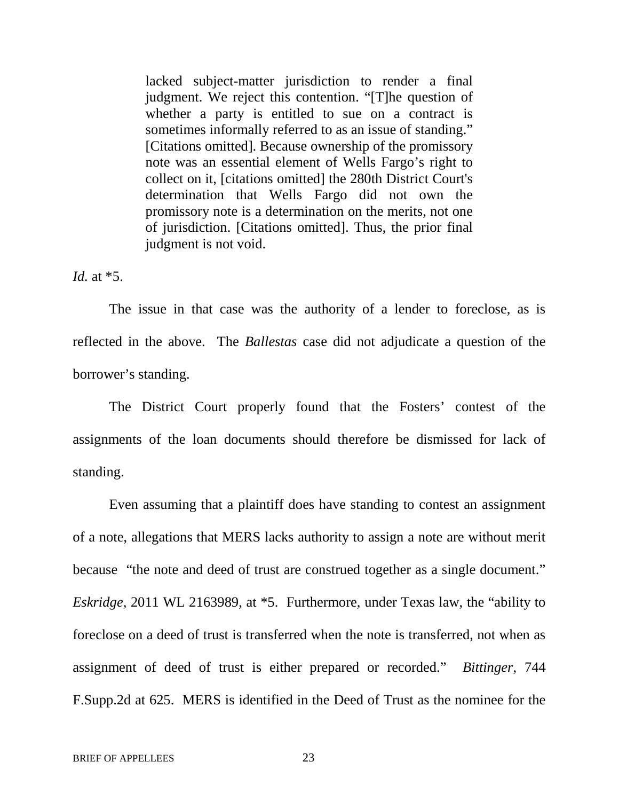lacked subject-matter jurisdiction to render a final judgment. We reject this contention. "[T]he question of whether a party is entitled to sue on a contract is sometimes informally referred to as an issue of standing." [Citations omitted]. Because ownership of the promissory note was an essential element of Wells Fargo's right to collect on it, [citations omitted] the 280th District Court's determination that Wells Fargo did not own the promissory note is a determination on the merits, not one of jurisdiction. [Citations omitted]. Thus, the prior final judgment is not void.

*Id.* at \*5.

The issue in that case was the authority of a lender to foreclose, as is reflected in the above. The *Ballestas* case did not adjudicate a question of the borrower's standing.

The District Court properly found that the Fosters' contest of the assignments of the loan documents should therefore be dismissed for lack of standing.

Even assuming that a plaintiff does have standing to contest an assignment of a note, allegations that MERS lacks authority to assign a note are without merit because "the note and deed of trust are construed together as a single document." *Eskridge,* 2011 WL 2163989, at \*5. Furthermore, under Texas law, the "ability to foreclose on a deed of trust is transferred when the note is transferred, not when as assignment of deed of trust is either prepared or recorded." *Bittinger*, 744 F.Supp.2d at 625. MERS is identified in the Deed of Trust as the nominee for the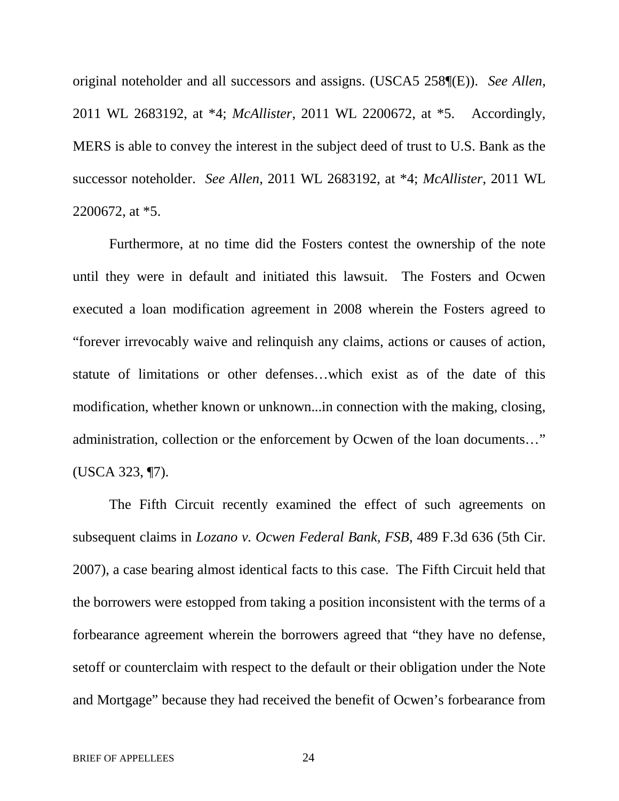original noteholder and all successors and assigns. (USCA5 258¶(E)). *See Allen*, 2011 WL 2683192, at \*4; *McAllister*, 2011 WL 2200672, at \*5. Accordingly, MERS is able to convey the interest in the subject deed of trust to U.S. Bank as the successor noteholder. *See Allen*, 2011 WL 2683192, at \*4; *McAllister*, 2011 WL 2200672, at \*5.

Furthermore, at no time did the Fosters contest the ownership of the note until they were in default and initiated this lawsuit. The Fosters and Ocwen executed a loan modification agreement in 2008 wherein the Fosters agreed to "forever irrevocably waive and relinquish any claims, actions or causes of action, statute of limitations or other defenses…which exist as of the date of this modification, whether known or unknown...in connection with the making, closing, administration, collection or the enforcement by Ocwen of the loan documents…" (USCA 323, ¶7).

The Fifth Circuit recently examined the effect of such agreements on subsequent claims in *Lozano v. Ocwen Federal Bank, FSB*, 489 F.3d 636 (5th Cir. 2007), a case bearing almost identical facts to this case. The Fifth Circuit held that the borrowers were estopped from taking a position inconsistent with the terms of a forbearance agreement wherein the borrowers agreed that "they have no defense, setoff or counterclaim with respect to the default or their obligation under the Note and Mortgage" because they had received the benefit of Ocwen's forbearance from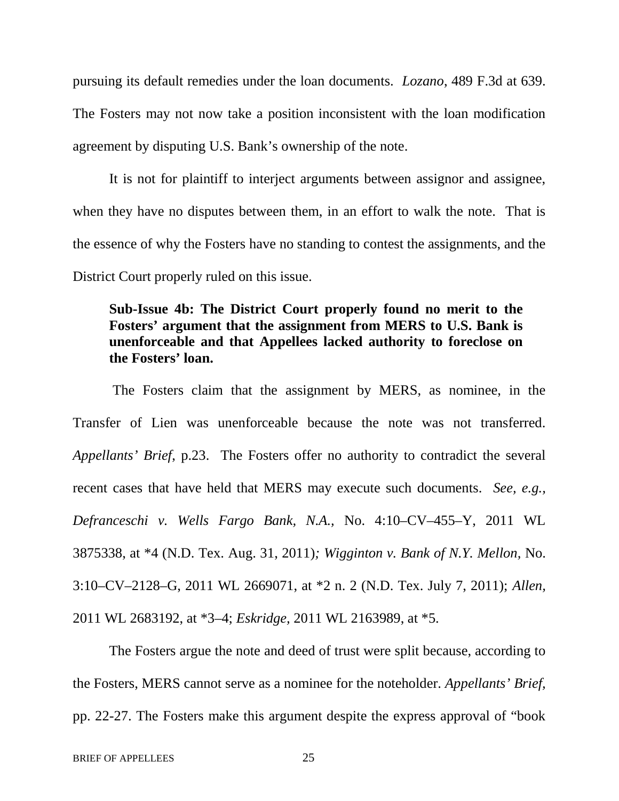pursuing its default remedies under the loan documents. *Lozano*, 489 F.3d at 639. The Fosters may not now take a position inconsistent with the loan modification agreement by disputing U.S. Bank's ownership of the note.

It is not for plaintiff to interject arguments between assignor and assignee, when they have no disputes between them, in an effort to walk the note. That is the essence of why the Fosters have no standing to contest the assignments, and the District Court properly ruled on this issue.

# **Sub-Issue 4b: The District Court properly found no merit to the Fosters' argument that the assignment from MERS to U.S. Bank is unenforceable and that Appellees lacked authority to foreclose on the Fosters' loan.**

The Fosters claim that the assignment by MERS, as nominee, in the Transfer of Lien was unenforceable because the note was not transferred. *Appellants' Brief*, p.23. The Fosters offer no authority to contradict the several recent cases that have held that MERS may execute such documents. *See, e.g., Defranceschi v. Wells Fargo Bank, N.A.,* No. 4:10–CV–455–Y, 2011 WL 3875338, at \*4 (N.D. Tex. Aug. 31, 2011)*; Wigginton v. Bank of N.Y. Mellon,* No. 3:10–CV–2128–G, 2011 WL 2669071, at \*2 n. 2 (N.D. Tex. July 7, 2011); *Allen,* 2011 WL 2683192, at \*3–4; *Eskridge,* 2011 WL 2163989, at \*5.

The Fosters argue the note and deed of trust were split because, according to the Fosters, MERS cannot serve as a nominee for the noteholder. *Appellants' Brief,* pp. 22-27. The Fosters make this argument despite the express approval of "book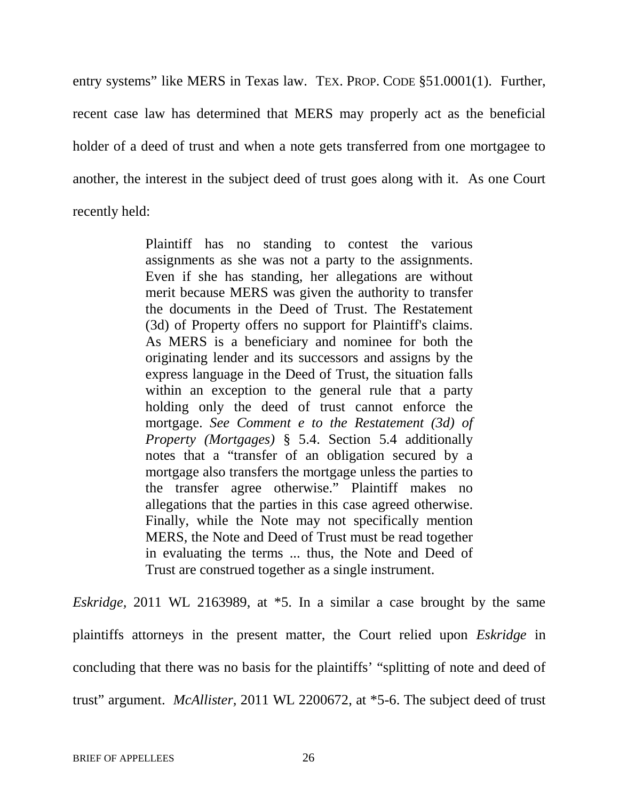entry systems" like MERS in Texas law. TEX. PROP. CODE §51.0001(1). Further, recent case law has determined that MERS may properly act as the beneficial holder of a deed of trust and when a note gets transferred from one mortgagee to another, the interest in the subject deed of trust goes along with it. As one Court recently held:

> Plaintiff has no standing to contest the various assignments as she was not a party to the assignments. Even if she has standing, her allegations are without merit because MERS was given the authority to transfer the documents in the Deed of Trust. The Restatement (3d) of Property offers no support for Plaintiff's claims. As MERS is a beneficiary and nominee for both the originating lender and its successors and assigns by the express language in the Deed of Trust, the situation falls within an exception to the general rule that a party holding only the deed of trust cannot enforce the mortgage. *See Comment e to the Restatement (3d) of Property (Mortgages)* § 5.4. Section 5.4 additionally notes that a "transfer of an obligation secured by a mortgage also transfers the mortgage unless the parties to the transfer agree otherwise." Plaintiff makes no allegations that the parties in this case agreed otherwise. Finally, while the Note may not specifically mention MERS, the Note and Deed of Trust must be read together in evaluating the terms ... thus, the Note and Deed of Trust are construed together as a single instrument.

*Eskridge,* 2011 WL 2163989, at \*5. In a similar a case brought by the same plaintiffs attorneys in the present matter, the Court relied upon *Eskridge* in concluding that there was no basis for the plaintiffs' "splitting of note and deed of trust" argument. *McAllister,* 2011 WL 2200672, at \*5-6. The subject deed of trust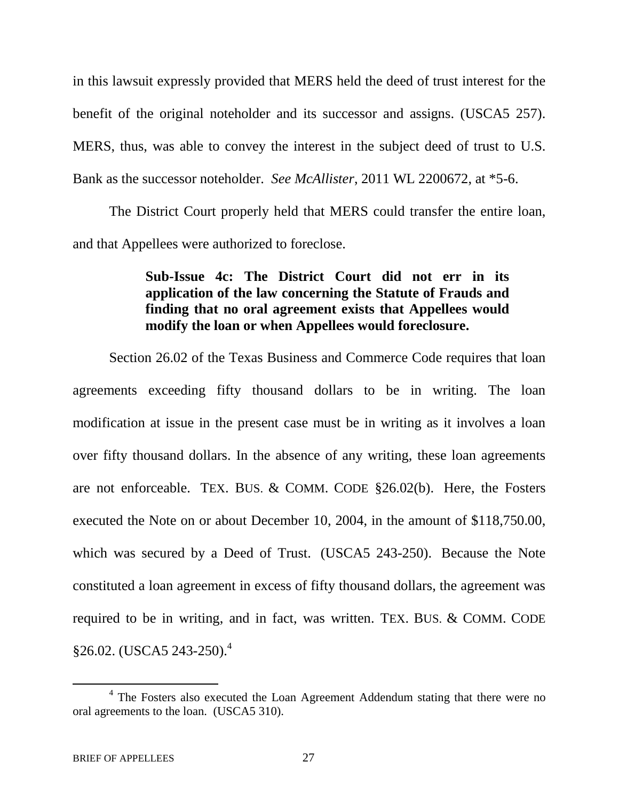in this lawsuit expressly provided that MERS held the deed of trust interest for the benefit of the original noteholder and its successor and assigns. (USCA5 257). MERS, thus, was able to convey the interest in the subject deed of trust to U.S. Bank as the successor noteholder. *See McAllister*, 2011 WL 2200672, at \*5-6.

The District Court properly held that MERS could transfer the entire loan, and that Appellees were authorized to foreclose.

# **Sub-Issue 4c: The District Court did not err in its application of the law concerning the Statute of Frauds and finding that no oral agreement exists that Appellees would modify the loan or when Appellees would foreclosure.**

Section 26.02 of the Texas Business and Commerce Code requires that loan agreements exceeding fifty thousand dollars to be in writing. The loan modification at issue in the present case must be in writing as it involves a loan over fifty thousand dollars. In the absence of any writing, these loan agreements are not enforceable. TEX. BUS. & COMM. CODE §26.02(b). Here, the Fosters executed the Note on or about December 10, 2004, in the amount of \$118,750.00, which was secured by a Deed of Trust. (USCA5 243-250). Because the Note constituted a loan agreement in excess of fifty thousand dollars, the agreement was required to be in writing, and in fact, was written. TEX. BUS. & COMM. CODE  $$26.02.$  (USCA5 243-250).<sup>4</sup>

<sup>&</sup>lt;sup>4</sup> The Fosters also executed the Loan Agreement Addendum stating that there were no oral agreements to the loan. (USCA5 310).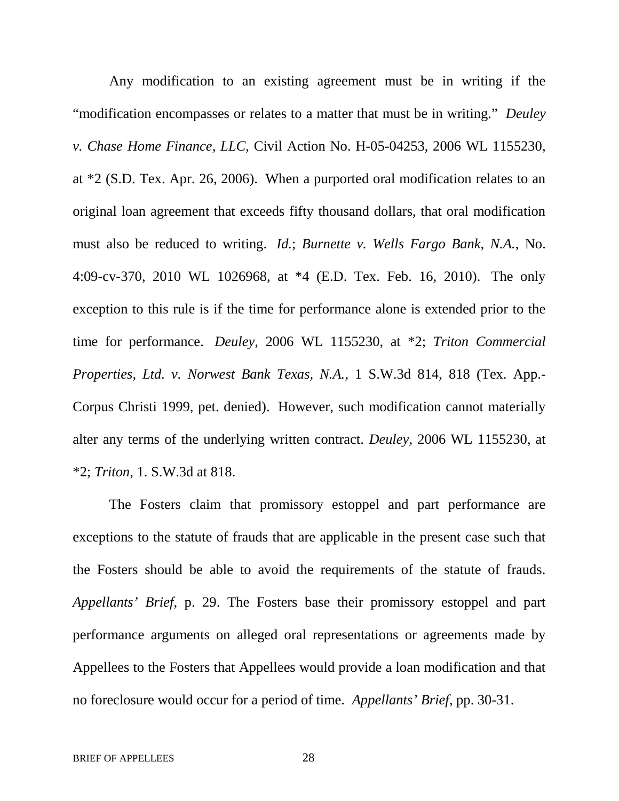Any modification to an existing agreement must be in writing if the "modification encompasses or relates to a matter that must be in writing." *Deuley v. Chase Home Finance, LLC*, Civil Action No. H-05-04253, 2006 WL 1155230, at \*2 (S.D. Tex. Apr. 26, 2006). When a purported oral modification relates to an original loan agreement that exceeds fifty thousand dollars, that oral modification must also be reduced to writing. *Id.*; *Burnette v. Wells Fargo Bank, N.A.*, No. 4:09-cv-370, 2010 WL 1026968, at \*4 (E.D. Tex. Feb. 16, 2010). The only exception to this rule is if the time for performance alone is extended prior to the time for performance. *Deuley,* 2006 WL 1155230, at \*2; *Triton Commercial Properties, Ltd. v. Norwest Bank Texas, N.A.*, 1 S.W.3d 814, 818 (Tex. App.- Corpus Christi 1999, pet. denied). However, such modification cannot materially alter any terms of the underlying written contract. *Deuley,* 2006 WL 1155230, at \*2; *Triton*, 1. S.W.3d at 818.

The Fosters claim that promissory estoppel and part performance are exceptions to the statute of frauds that are applicable in the present case such that the Fosters should be able to avoid the requirements of the statute of frauds. *Appellants' Brief*, p. 29. The Fosters base their promissory estoppel and part performance arguments on alleged oral representations or agreements made by Appellees to the Fosters that Appellees would provide a loan modification and that no foreclosure would occur for a period of time. *Appellants' Brief*, pp. 30-31.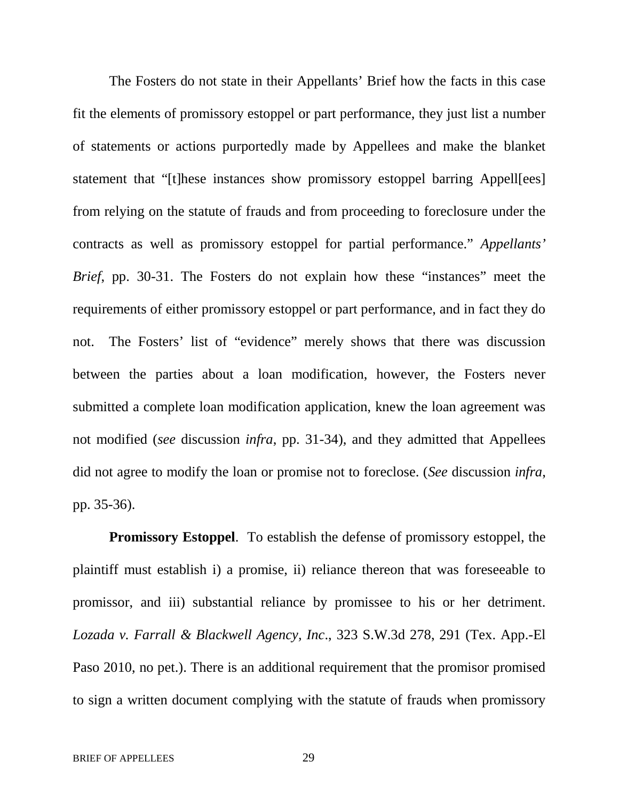The Fosters do not state in their Appellants' Brief how the facts in this case fit the elements of promissory estoppel or part performance, they just list a number of statements or actions purportedly made by Appellees and make the blanket statement that "[t]hese instances show promissory estoppel barring Appell[ees] from relying on the statute of frauds and from proceeding to foreclosure under the contracts as well as promissory estoppel for partial performance." *Appellants' Brief*, pp. 30-31. The Fosters do not explain how these "instances" meet the requirements of either promissory estoppel or part performance, and in fact they do not. The Fosters' list of "evidence" merely shows that there was discussion between the parties about a loan modification, however, the Fosters never submitted a complete loan modification application, knew the loan agreement was not modified (*see* discussion *infra*, pp. 31-34), and they admitted that Appellees did not agree to modify the loan or promise not to foreclose. (*See* discussion *infra*, pp. 35-36).

**Promissory Estoppel**. To establish the defense of promissory estoppel, the plaintiff must establish i) a promise, ii) reliance thereon that was foreseeable to promissor, and iii) substantial reliance by promissee to his or her detriment. *Lozada v. Farrall & Blackwell Agency, Inc*., 323 S.W.3d 278, 291 (Tex. App.-El Paso 2010, no pet.). There is an additional requirement that the promisor promised to sign a written document complying with the statute of frauds when promissory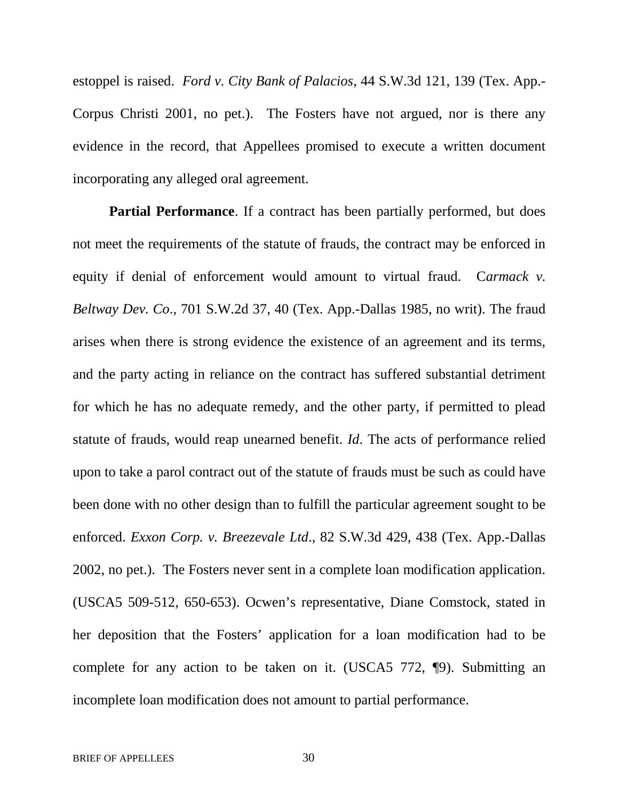estoppel is raised. *Ford v. City Bank of Palacios*, 44 S.W.3d 121, 139 (Tex. App.- Corpus Christi 2001, no pet.). The Fosters have not argued, nor is there any evidence in the record, that Appellees promised to execute a written document incorporating any alleged oral agreement.

**Partial Performance**. If a contract has been partially performed, but does not meet the requirements of the statute of frauds, the contract may be enforced in equity if denial of enforcement would amount to virtual fraud. C*armack v. Beltway Dev. Co*., 701 S.W.2d 37, 40 (Tex. App.-Dallas 1985, no writ). The fraud arises when there is strong evidence the existence of an agreement and its terms, and the party acting in reliance on the contract has suffered substantial detriment for which he has no adequate remedy, and the other party, if permitted to plead statute of frauds, would reap unearned benefit. *Id*. The acts of performance relied upon to take a parol contract out of the statute of frauds must be such as could have been done with no other design than to fulfill the particular agreement sought to be enforced. *Exxon Corp. v. Breezevale Ltd*., 82 S.W.3d 429, 438 (Tex. App.-Dallas 2002, no pet.). The Fosters never sent in a complete loan modification application. (USCA5 509-512, 650-653). Ocwen's representative, Diane Comstock, stated in her deposition that the Fosters' application for a loan modification had to be complete for any action to be taken on it. (USCA5 772, ¶9). Submitting an incomplete loan modification does not amount to partial performance.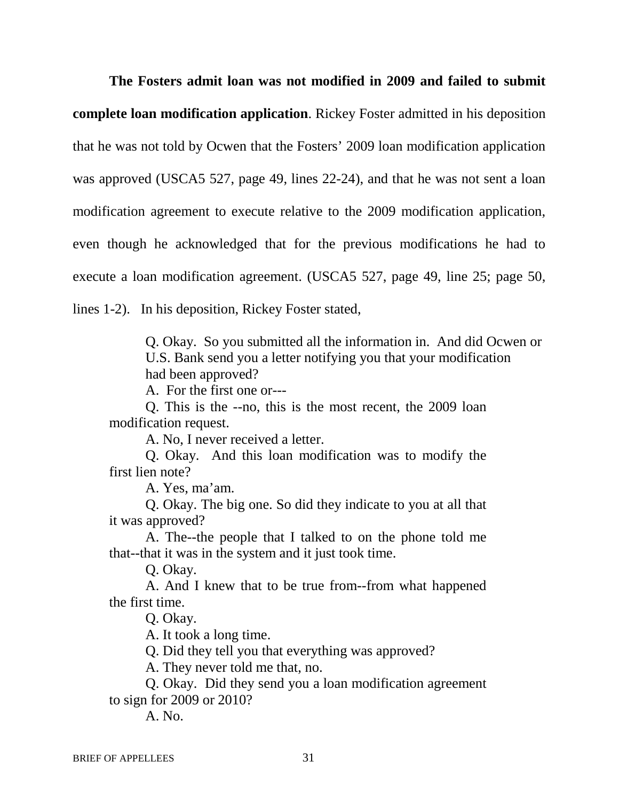**The Fosters admit loan was not modified in 2009 and failed to submit complete loan modification application**. Rickey Foster admitted in his deposition that he was not told by Ocwen that the Fosters' 2009 loan modification application was approved (USCA5 527, page 49, lines 22-24), and that he was not sent a loan modification agreement to execute relative to the 2009 modification application, even though he acknowledged that for the previous modifications he had to execute a loan modification agreement. (USCA5 527, page 49, line 25; page 50, lines 1-2). In his deposition, Rickey Foster stated,

> Q. Okay. So you submitted all the information in. And did Ocwen or U.S. Bank send you a letter notifying you that your modification had been approved?

A. For the first one or---

Q. This is the --no, this is the most recent, the 2009 loan modification request.

A. No, I never received a letter.

Q. Okay. And this loan modification was to modify the first lien note?

A. Yes, ma'am.

Q. Okay. The big one. So did they indicate to you at all that it was approved?

A. The--the people that I talked to on the phone told me that--that it was in the system and it just took time.

Q. Okay.

A. And I knew that to be true from--from what happened the first time.

Q. Okay.

A. It took a long time.

Q. Did they tell you that everything was approved?

A. They never told me that, no.

Q. Okay. Did they send you a loan modification agreement to sign for 2009 or 2010?

A. No.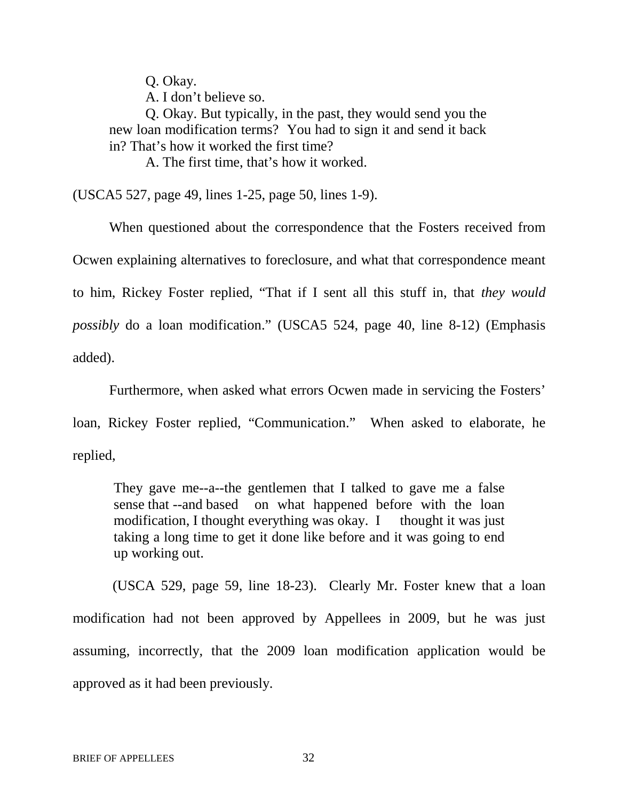Q. Okay.

A. I don't believe so.

Q. Okay. But typically, in the past, they would send you the new loan modification terms? You had to sign it and send it back in? That's how it worked the first time?

A. The first time, that's how it worked.

(USCA5 527, page 49, lines 1-25, page 50, lines 1-9).

When questioned about the correspondence that the Fosters received from Ocwen explaining alternatives to foreclosure, and what that correspondence meant to him, Rickey Foster replied, "That if I sent all this stuff in, that *they would possibly* do a loan modification." (USCA5 524, page 40, line 8-12) (Emphasis added).

Furthermore, when asked what errors Ocwen made in servicing the Fosters'

loan, Rickey Foster replied, "Communication." When asked to elaborate, he replied,

They gave me--a--the gentlemen that I talked to gave me a false sense that --and based on what happened before with the loan modification, I thought everything was okay. I thought it was just taking a long time to get it done like before and it was going to end up working out.

(USCA 529, page 59, line 18-23). Clearly Mr. Foster knew that a loan modification had not been approved by Appellees in 2009, but he was just assuming, incorrectly, that the 2009 loan modification application would be approved as it had been previously.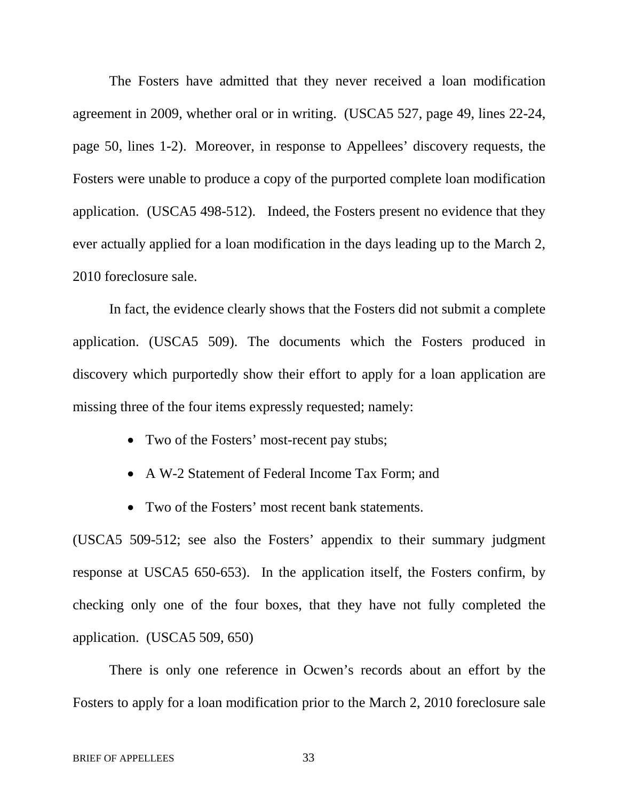The Fosters have admitted that they never received a loan modification agreement in 2009, whether oral or in writing. (USCA5 527, page 49, lines 22-24, page 50, lines 1-2). Moreover, in response to Appellees' discovery requests, the Fosters were unable to produce a copy of the purported complete loan modification application. (USCA5 498-512). Indeed, the Fosters present no evidence that they ever actually applied for a loan modification in the days leading up to the March 2, 2010 foreclosure sale.

In fact, the evidence clearly shows that the Fosters did not submit a complete application. (USCA5 509). The documents which the Fosters produced in discovery which purportedly show their effort to apply for a loan application are missing three of the four items expressly requested; namely:

- Two of the Fosters' most-recent pay stubs;
- A W-2 Statement of Federal Income Tax Form; and
- Two of the Fosters' most recent bank statements.

(USCA5 509-512; see also the Fosters' appendix to their summary judgment response at USCA5 650-653). In the application itself, the Fosters confirm, by checking only one of the four boxes, that they have not fully completed the application. (USCA5 509, 650)

There is only one reference in Ocwen's records about an effort by the Fosters to apply for a loan modification prior to the March 2, 2010 foreclosure sale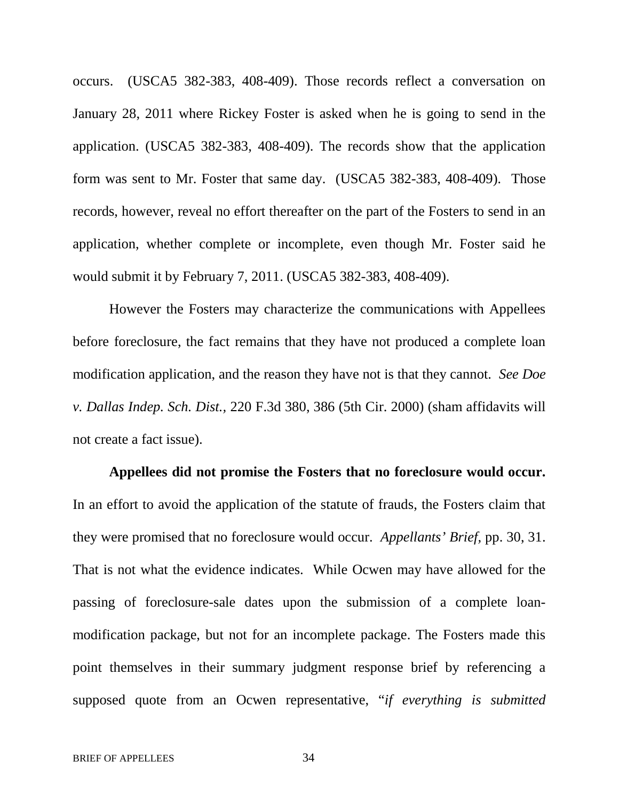occurs. (USCA5 382-383, 408-409). Those records reflect a conversation on January 28, 2011 where Rickey Foster is asked when he is going to send in the application. (USCA5 382-383, 408-409). The records show that the application form was sent to Mr. Foster that same day. (USCA5 382-383, 408-409)*.* Those records, however, reveal no effort thereafter on the part of the Fosters to send in an application, whether complete or incomplete, even though Mr. Foster said he would submit it by February 7, 2011. (USCA5 382-383, 408-409).

However the Fosters may characterize the communications with Appellees before foreclosure, the fact remains that they have not produced a complete loan modification application, and the reason they have not is that they cannot. *See Doe v. Dallas Indep. Sch. Dist.,* 220 F.3d 380, 386 (5th Cir. 2000) (sham affidavits will not create a fact issue).

**Appellees did not promise the Fosters that no foreclosure would occur.** In an effort to avoid the application of the statute of frauds, the Fosters claim that they were promised that no foreclosure would occur. *Appellants' Brief,* pp. 30, 31. That is not what the evidence indicates. While Ocwen may have allowed for the passing of foreclosure-sale dates upon the submission of a complete loanmodification package, but not for an incomplete package. The Fosters made this point themselves in their summary judgment response brief by referencing a supposed quote from an Ocwen representative, "*if everything is submitted*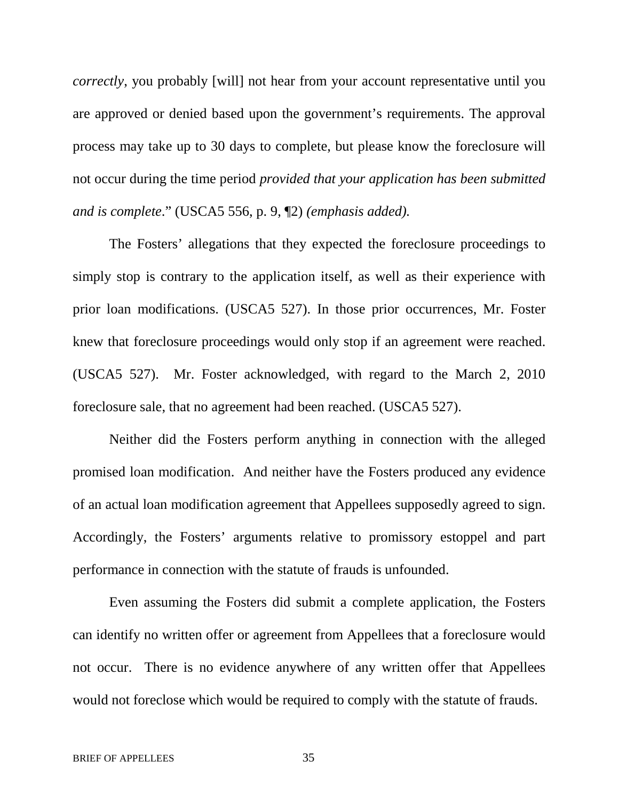*correctly*, you probably [will] not hear from your account representative until you are approved or denied based upon the government's requirements. The approval process may take up to 30 days to complete, but please know the foreclosure will not occur during the time period *provided that your application has been submitted and is complete*." (USCA5 556, p. 9, ¶2) *(emphasis added).*

The Fosters' allegations that they expected the foreclosure proceedings to simply stop is contrary to the application itself, as well as their experience with prior loan modifications. (USCA5 527). In those prior occurrences, Mr. Foster knew that foreclosure proceedings would only stop if an agreement were reached. (USCA5 527). Mr. Foster acknowledged, with regard to the March 2, 2010 foreclosure sale, that no agreement had been reached. (USCA5 527).

Neither did the Fosters perform anything in connection with the alleged promised loan modification. And neither have the Fosters produced any evidence of an actual loan modification agreement that Appellees supposedly agreed to sign. Accordingly, the Fosters' arguments relative to promissory estoppel and part performance in connection with the statute of frauds is unfounded.

Even assuming the Fosters did submit a complete application, the Fosters can identify no written offer or agreement from Appellees that a foreclosure would not occur. There is no evidence anywhere of any written offer that Appellees would not foreclose which would be required to comply with the statute of frauds.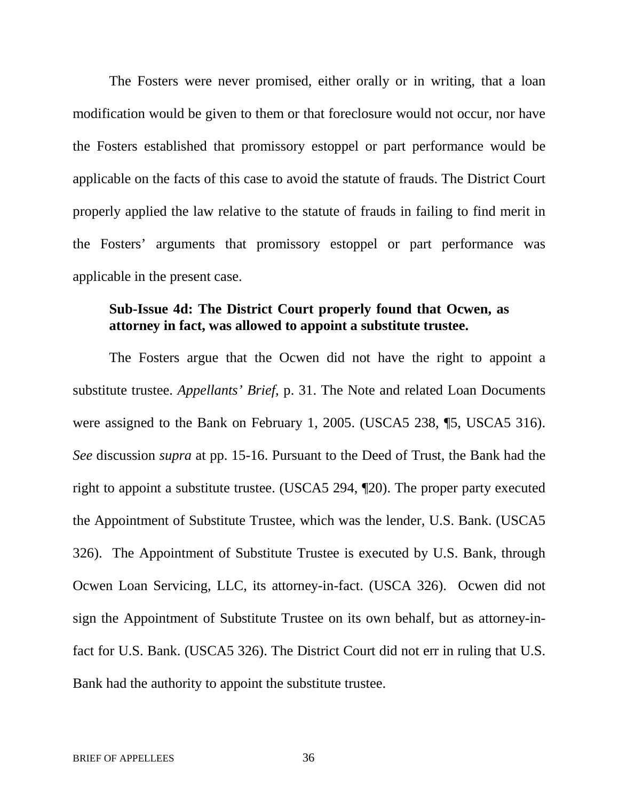The Fosters were never promised, either orally or in writing, that a loan modification would be given to them or that foreclosure would not occur, nor have the Fosters established that promissory estoppel or part performance would be applicable on the facts of this case to avoid the statute of frauds. The District Court properly applied the law relative to the statute of frauds in failing to find merit in the Fosters' arguments that promissory estoppel or part performance was applicable in the present case.

### **Sub-Issue 4d: The District Court properly found that Ocwen, as attorney in fact, was allowed to appoint a substitute trustee.**

The Fosters argue that the Ocwen did not have the right to appoint a substitute trustee. *Appellants' Brief,* p. 31. The Note and related Loan Documents were assigned to the Bank on February 1, 2005. (USCA5 238, ¶5, USCA5 316). *See* discussion *supra* at pp. 15-16. Pursuant to the Deed of Trust, the Bank had the right to appoint a substitute trustee. (USCA5 294, ¶20). The proper party executed the Appointment of Substitute Trustee, which was the lender, U.S. Bank. (USCA5 326). The Appointment of Substitute Trustee is executed by U.S. Bank, through Ocwen Loan Servicing, LLC, its attorney-in-fact. (USCA 326). Ocwen did not sign the Appointment of Substitute Trustee on its own behalf, but as attorney-infact for U.S. Bank. (USCA5 326). The District Court did not err in ruling that U.S. Bank had the authority to appoint the substitute trustee.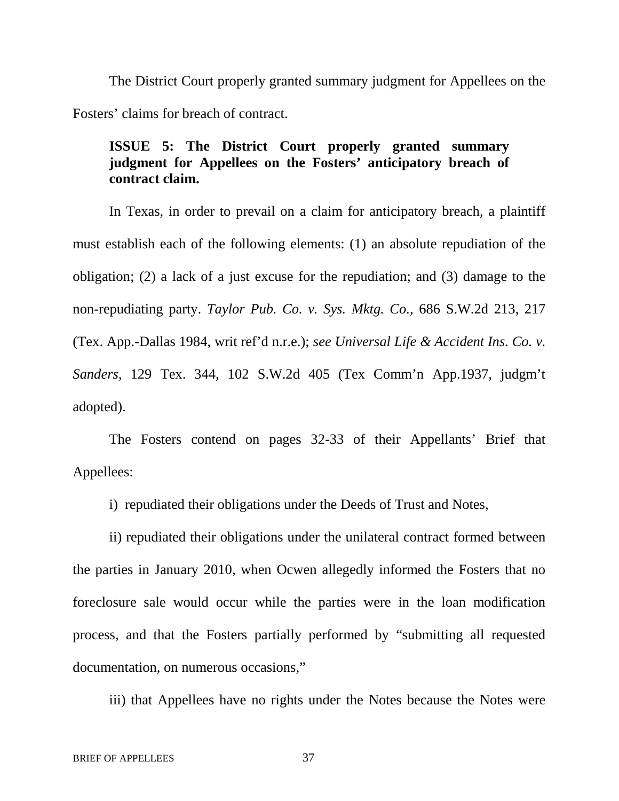The District Court properly granted summary judgment for Appellees on the Fosters' claims for breach of contract.

# **ISSUE 5: The District Court properly granted summary judgment for Appellees on the Fosters' anticipatory breach of contract claim.**

In Texas, in order to prevail on a claim for anticipatory breach, a plaintiff must establish each of the following elements: (1) an absolute repudiation of the obligation; (2) a lack of a just excuse for the repudiation; and (3) damage to the non-repudiating party. *Taylor Pub. Co. v. Sys. Mktg. Co.,* 686 S.W.2d 213, 217 (Tex. App.-Dallas 1984, writ ref'd n.r.e.); *see Universal Life & Accident Ins. Co. v. Sanders,* 129 Tex. 344, 102 S.W.2d 405 (Tex Comm'n App.1937, judgm't adopted).

The Fosters contend on pages 32-33 of their Appellants' Brief that Appellees:

i) repudiated their obligations under the Deeds of Trust and Notes,

ii) repudiated their obligations under the unilateral contract formed between the parties in January 2010, when Ocwen allegedly informed the Fosters that no foreclosure sale would occur while the parties were in the loan modification process, and that the Fosters partially performed by "submitting all requested documentation, on numerous occasions,"

iii) that Appellees have no rights under the Notes because the Notes were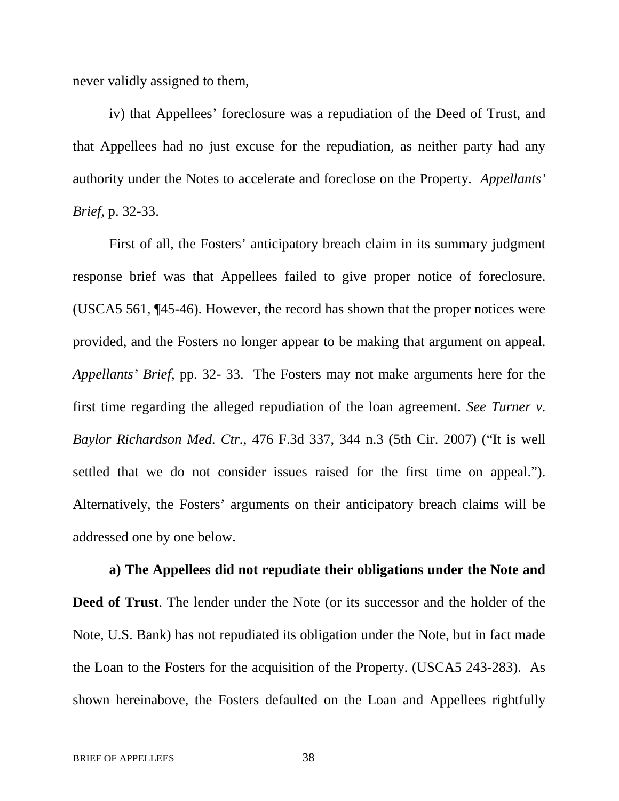never validly assigned to them,

iv) that Appellees' foreclosure was a repudiation of the Deed of Trust, and that Appellees had no just excuse for the repudiation, as neither party had any authority under the Notes to accelerate and foreclose on the Property. *Appellants' Brief,* p. 32-33.

First of all, the Fosters' anticipatory breach claim in its summary judgment response brief was that Appellees failed to give proper notice of foreclosure. (USCA5 561, ¶45-46). However, the record has shown that the proper notices were provided, and the Fosters no longer appear to be making that argument on appeal. *Appellants' Brief,* pp. 32- 33. The Fosters may not make arguments here for the first time regarding the alleged repudiation of the loan agreement. *See Turner v. Baylor Richardson Med. Ctr.,* 476 F.3d 337, 344 n.3 (5th Cir. 2007) ("It is well settled that we do not consider issues raised for the first time on appeal."). Alternatively, the Fosters' arguments on their anticipatory breach claims will be addressed one by one below.

**a) The Appellees did not repudiate their obligations under the Note and Deed of Trust**. The lender under the Note (or its successor and the holder of the Note, U.S. Bank) has not repudiated its obligation under the Note, but in fact made the Loan to the Fosters for the acquisition of the Property. (USCA5 243-283). As shown hereinabove, the Fosters defaulted on the Loan and Appellees rightfully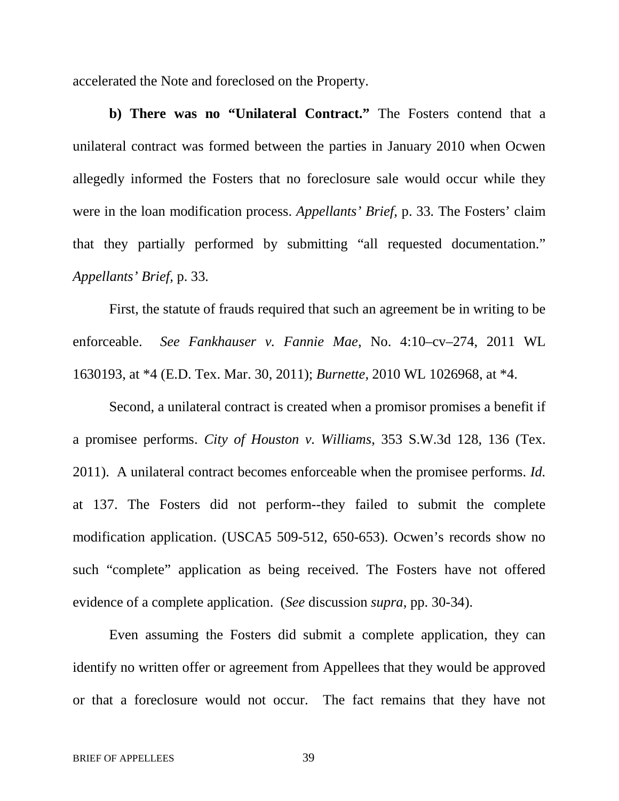accelerated the Note and foreclosed on the Property.

**b) There was no "Unilateral Contract."** The Fosters contend that a unilateral contract was formed between the parties in January 2010 when Ocwen allegedly informed the Fosters that no foreclosure sale would occur while they were in the loan modification process. *Appellants' Brief,* p. 33*.* The Fosters' claim that they partially performed by submitting "all requested documentation." *Appellants' Brief,* p. 33*.*

First, the statute of frauds required that such an agreement be in writing to be enforceable. *See Fankhauser v. Fannie Mae*, No. 4:10–cv–274, 2011 WL 1630193, at \*4 (E.D. Tex. Mar. 30, 2011); *Burnette*, 2010 WL 1026968, at \*4.

Second, a unilateral contract is created when a promisor promises a benefit if a promisee performs. *City of Houston v. Williams*, 353 S.W.3d 128, 136 (Tex. 2011). A unilateral contract becomes enforceable when the promisee performs. *Id.* at 137. The Fosters did not perform--they failed to submit the complete modification application. (USCA5 509-512, 650-653). Ocwen's records show no such "complete" application as being received. The Fosters have not offered evidence of a complete application. (*See* discussion *supra*, pp. 30-34).

Even assuming the Fosters did submit a complete application, they can identify no written offer or agreement from Appellees that they would be approved or that a foreclosure would not occur. The fact remains that they have not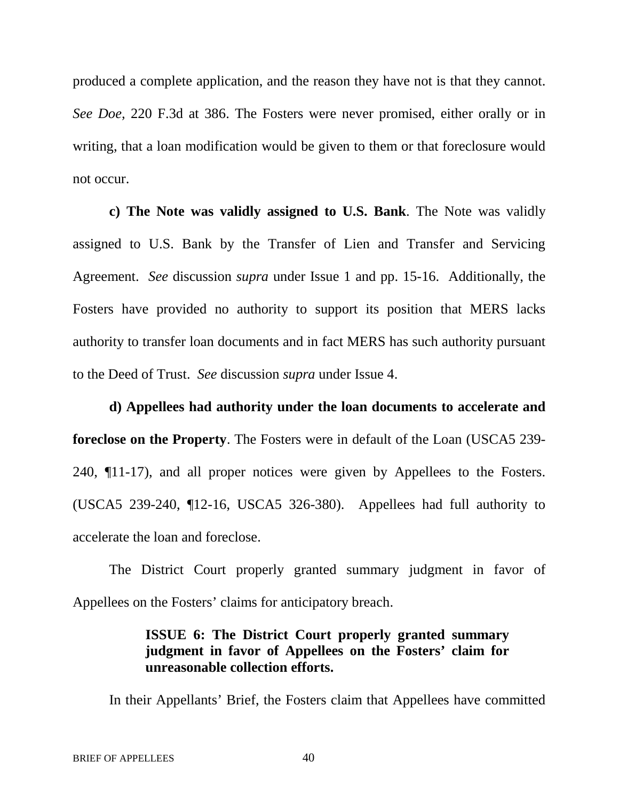produced a complete application, and the reason they have not is that they cannot. *See Doe,* 220 F.3d at 386. The Fosters were never promised, either orally or in writing, that a loan modification would be given to them or that foreclosure would not occur.

**c) The Note was validly assigned to U.S. Bank**. The Note was validly assigned to U.S. Bank by the Transfer of Lien and Transfer and Servicing Agreement. *See* discussion *supra* under Issue 1 and pp. 15-16. Additionally, the Fosters have provided no authority to support its position that MERS lacks authority to transfer loan documents and in fact MERS has such authority pursuant to the Deed of Trust. *See* discussion *supra* under Issue 4.

**d) Appellees had authority under the loan documents to accelerate and foreclose on the Property**. The Fosters were in default of the Loan (USCA5 239- 240, ¶11-17), and all proper notices were given by Appellees to the Fosters. (USCA5 239-240, ¶12-16, USCA5 326-380). Appellees had full authority to accelerate the loan and foreclose.

The District Court properly granted summary judgment in favor of Appellees on the Fosters' claims for anticipatory breach.

> **ISSUE 6: The District Court properly granted summary judgment in favor of Appellees on the Fosters' claim for unreasonable collection efforts.**

In their Appellants' Brief, the Fosters claim that Appellees have committed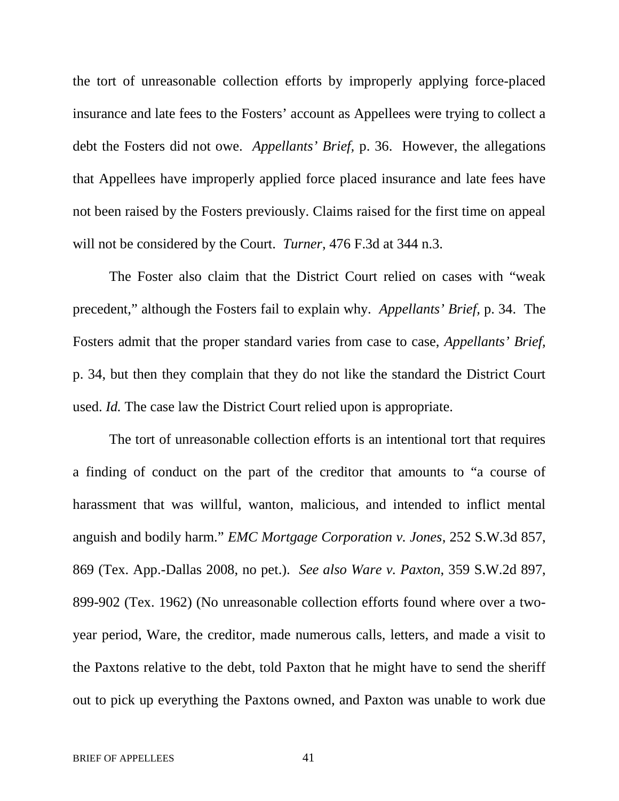the tort of unreasonable collection efforts by improperly applying force-placed insurance and late fees to the Fosters' account as Appellees were trying to collect a debt the Fosters did not owe. *Appellants' Brief,* p. 36. However, the allegations that Appellees have improperly applied force placed insurance and late fees have not been raised by the Fosters previously. Claims raised for the first time on appeal will not be considered by the Court. *Turner*, 476 F.3d at 344 n.3.

The Foster also claim that the District Court relied on cases with "weak precedent," although the Fosters fail to explain why. *Appellants' Brief,* p. 34. The Fosters admit that the proper standard varies from case to case, *Appellants' Brief,* p. 34, but then they complain that they do not like the standard the District Court used. *Id.* The case law the District Court relied upon is appropriate.

The tort of unreasonable collection efforts is an intentional tort that requires a finding of conduct on the part of the creditor that amounts to "a course of harassment that was willful, wanton, malicious, and intended to inflict mental anguish and bodily harm." *EMC Mortgage Corporation v. Jones*, 252 S.W.3d 857, 869 (Tex. App.-Dallas 2008, no pet.). *See also Ware v. Paxton*, 359 S.W.2d 897, 899-902 (Tex. 1962) (No unreasonable collection efforts found where over a twoyear period, Ware, the creditor, made numerous calls, letters, and made a visit to the Paxtons relative to the debt, told Paxton that he might have to send the sheriff out to pick up everything the Paxtons owned, and Paxton was unable to work due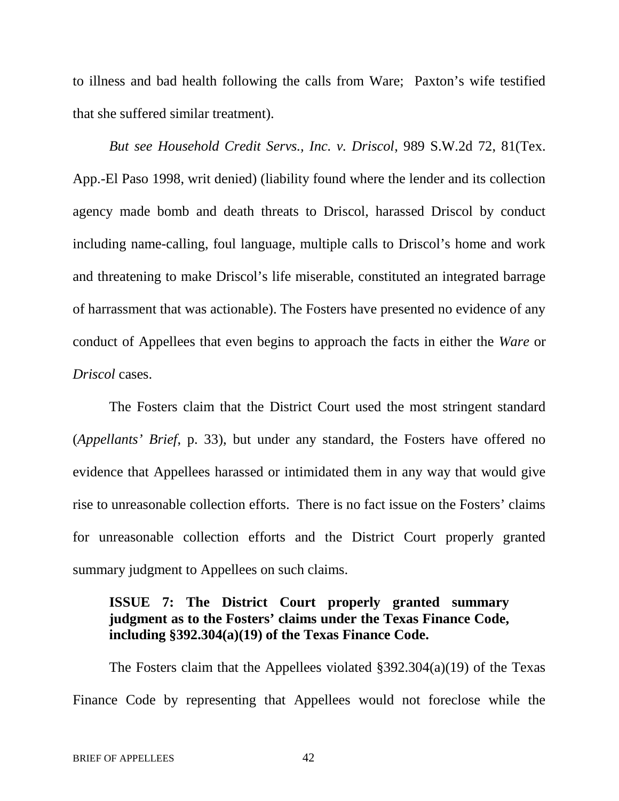to illness and bad health following the calls from Ware; Paxton's wife testified that she suffered similar treatment).

*But see Household Credit Servs., Inc. v. Driscol*, 989 S.W.2d 72, 81(Tex. App.-El Paso 1998, writ denied) (liability found where the lender and its collection agency made bomb and death threats to Driscol, harassed Driscol by conduct including name-calling, foul language, multiple calls to Driscol's home and work and threatening to make Driscol's life miserable, constituted an integrated barrage of harrassment that was actionable). The Fosters have presented no evidence of any conduct of Appellees that even begins to approach the facts in either the *Ware* or *Driscol* cases.

The Fosters claim that the District Court used the most stringent standard (*Appellants' Brief*, p. 33), but under any standard, the Fosters have offered no evidence that Appellees harassed or intimidated them in any way that would give rise to unreasonable collection efforts. There is no fact issue on the Fosters' claims for unreasonable collection efforts and the District Court properly granted summary judgment to Appellees on such claims.

# **ISSUE 7: The District Court properly granted summary judgment as to the Fosters' claims under the Texas Finance Code, including §392.304(a)(19) of the Texas Finance Code.**

The Fosters claim that the Appellees violated §392.304(a)(19) of the Texas Finance Code by representing that Appellees would not foreclose while the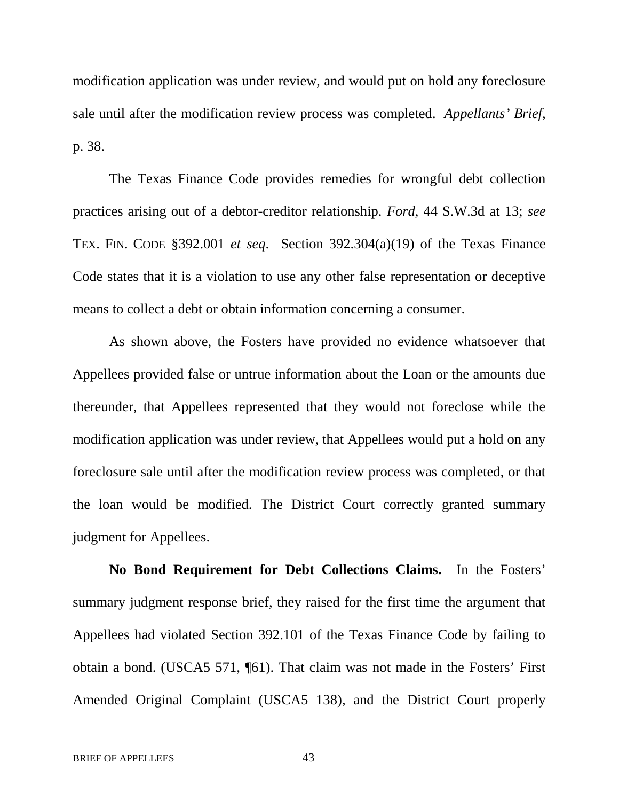modification application was under review, and would put on hold any foreclosure sale until after the modification review process was completed. *Appellants' Brief,* p. 38.

The Texas Finance Code provides remedies for wrongful debt collection practices arising out of a debtor-creditor relationship. *Ford,* 44 S.W.3d at 13; *see* TEX. FIN. CODE §392.001 *et seq*. Section 392.304(a)(19) of the Texas Finance Code states that it is a violation to use any other false representation or deceptive means to collect a debt or obtain information concerning a consumer.

As shown above, the Fosters have provided no evidence whatsoever that Appellees provided false or untrue information about the Loan or the amounts due thereunder, that Appellees represented that they would not foreclose while the modification application was under review, that Appellees would put a hold on any foreclosure sale until after the modification review process was completed, or that the loan would be modified. The District Court correctly granted summary judgment for Appellees.

**No Bond Requirement for Debt Collections Claims.** In the Fosters' summary judgment response brief, they raised for the first time the argument that Appellees had violated Section 392.101 of the Texas Finance Code by failing to obtain a bond. (USCA5 571, ¶61). That claim was not made in the Fosters' First Amended Original Complaint (USCA5 138), and the District Court properly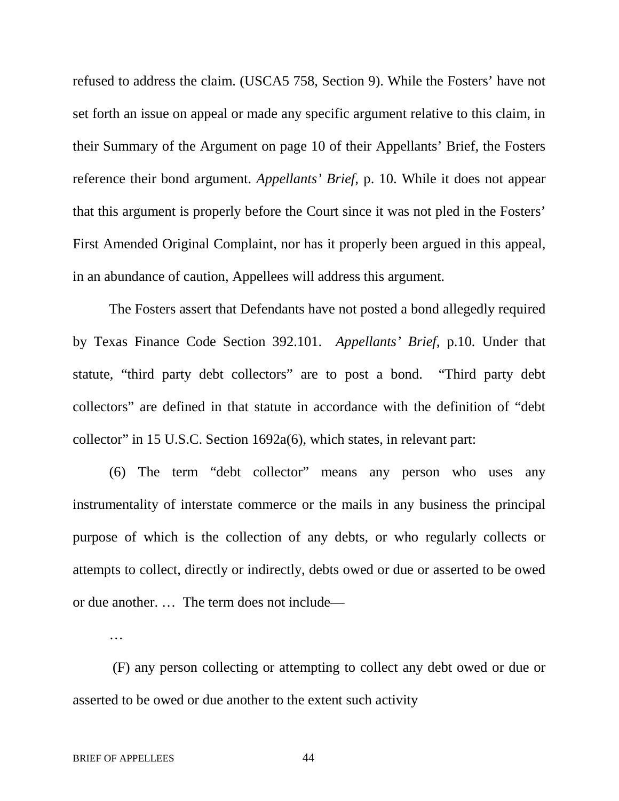refused to address the claim. (USCA5 758, Section 9). While the Fosters' have not set forth an issue on appeal or made any specific argument relative to this claim, in their Summary of the Argument on page 10 of their Appellants' Brief, the Fosters reference their bond argument. *Appellants' Brief,* p. 10. While it does not appear that this argument is properly before the Court since it was not pled in the Fosters' First Amended Original Complaint, nor has it properly been argued in this appeal, in an abundance of caution, Appellees will address this argument.

The Fosters assert that Defendants have not posted a bond allegedly required by Texas Finance Code Section 392.101. *Appellants' Brief,* p.10*.* Under that statute, "third party debt collectors" are to post a bond. "Third party debt collectors" are defined in that statute in accordance with the definition of "debt collector" in 15 U.S.C. Section 1692a(6), which states, in relevant part:

(6) The term "debt collector" means any person who uses any instrumentality of interstate commerce or the mails in any business the principal purpose of which is the collection of any debts, or who regularly collects or attempts to collect, directly or indirectly, debts owed or due or asserted to be owed or due another. … The term does not include—

…

(F) any person collecting or attempting to collect any debt owed or due or asserted to be owed or due another to the extent such activity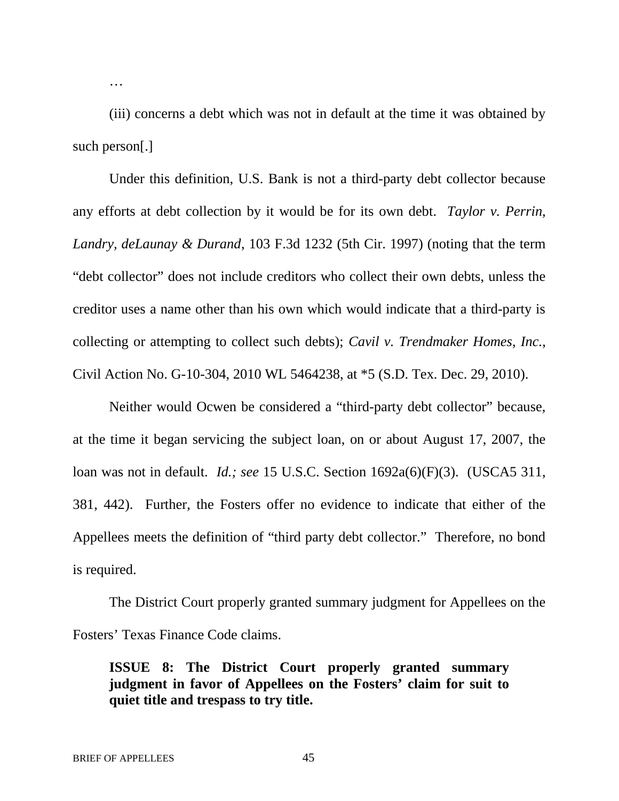(iii) concerns a debt which was not in default at the time it was obtained by such person[.]

Under this definition, U.S. Bank is not a third-party debt collector because any efforts at debt collection by it would be for its own debt. *Taylor v. Perrin, Landry, deLaunay & Durand*, 103 F.3d 1232 (5th Cir. 1997) (noting that the term "debt collector" does not include creditors who collect their own debts, unless the creditor uses a name other than his own which would indicate that a third-party is collecting or attempting to collect such debts); *Cavil v. Trendmaker Homes, Inc.*, Civil Action No. G-10-304, 2010 WL 5464238, at \*5 (S.D. Tex. Dec. 29, 2010).

Neither would Ocwen be considered a "third-party debt collector" because, at the time it began servicing the subject loan, on or about August 17, 2007, the loan was not in default. *Id.; see* 15 U.S.C. Section 1692a(6)(F)(3). (USCA5 311, 381, 442). Further, the Fosters offer no evidence to indicate that either of the Appellees meets the definition of "third party debt collector." Therefore, no bond is required.

The District Court properly granted summary judgment for Appellees on the Fosters' Texas Finance Code claims.

**ISSUE 8: The District Court properly granted summary judgment in favor of Appellees on the Fosters' claim for suit to quiet title and trespass to try title.**

…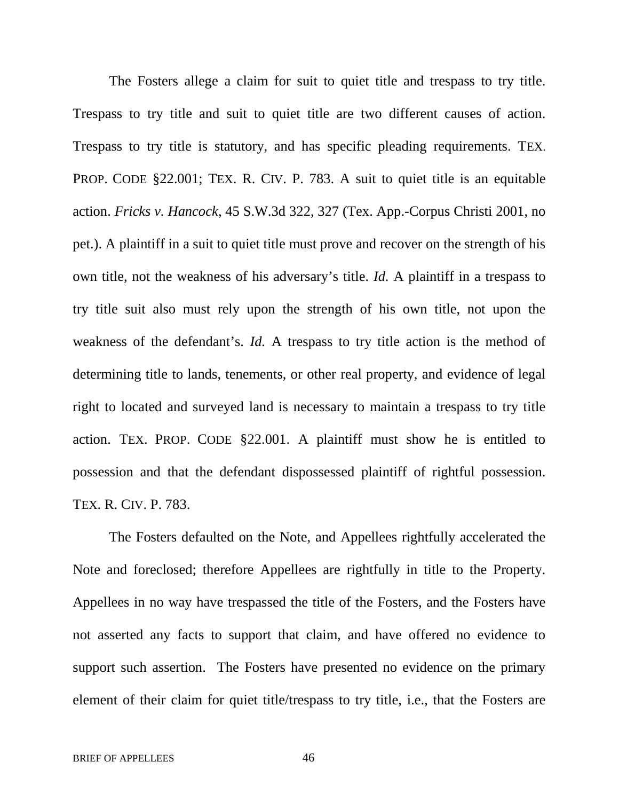The Fosters allege a claim for suit to quiet title and trespass to try title. Trespass to try title and suit to quiet title are two different causes of action. Trespass to try title is statutory, and has specific pleading requirements. TEX. PROP. CODE §22.001; TEX. R. CIV. P. 783. A suit to quiet title is an equitable action. *Fricks v. Hancock*, 45 S.W.3d 322, 327 (Tex. App.-Corpus Christi 2001, no pet.). A plaintiff in a suit to quiet title must prove and recover on the strength of his own title, not the weakness of his adversary's title. *Id.* A plaintiff in a trespass to try title suit also must rely upon the strength of his own title, not upon the weakness of the defendant's. *Id.* A trespass to try title action is the method of determining title to lands, tenements, or other real property, and evidence of legal right to located and surveyed land is necessary to maintain a trespass to try title action. TEX. PROP. CODE §22.001. A plaintiff must show he is entitled to possession and that the defendant dispossessed plaintiff of rightful possession. TEX. R. CIV. P. 783.

The Fosters defaulted on the Note, and Appellees rightfully accelerated the Note and foreclosed; therefore Appellees are rightfully in title to the Property. Appellees in no way have trespassed the title of the Fosters, and the Fosters have not asserted any facts to support that claim, and have offered no evidence to support such assertion. The Fosters have presented no evidence on the primary element of their claim for quiet title/trespass to try title, i.e., that the Fosters are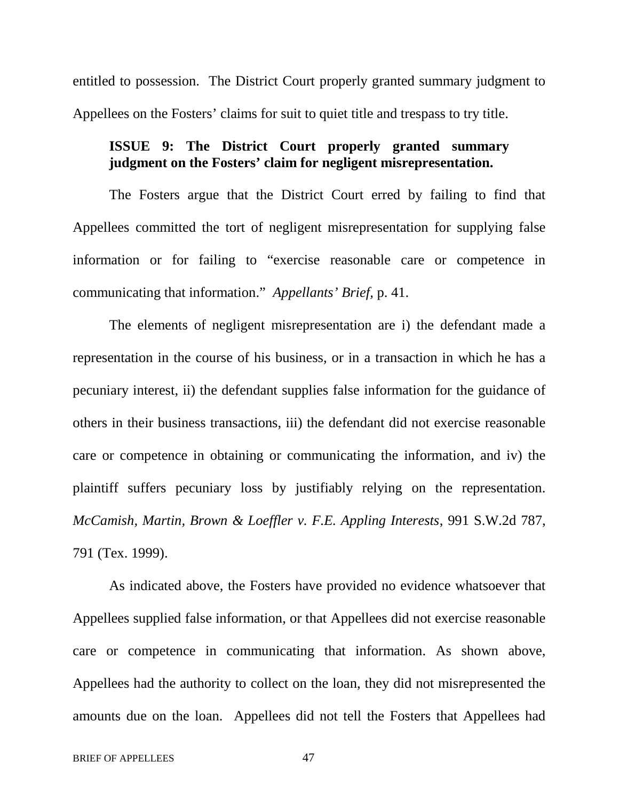entitled to possession. The District Court properly granted summary judgment to Appellees on the Fosters' claims for suit to quiet title and trespass to try title.

# **ISSUE 9: The District Court properly granted summary judgment on the Fosters' claim for negligent misrepresentation.**

The Fosters argue that the District Court erred by failing to find that Appellees committed the tort of negligent misrepresentation for supplying false information or for failing to "exercise reasonable care or competence in communicating that information." *Appellants' Brief,* p. 41.

The elements of negligent misrepresentation are i) the defendant made a representation in the course of his business, or in a transaction in which he has a pecuniary interest, ii) the defendant supplies false information for the guidance of others in their business transactions, iii) the defendant did not exercise reasonable care or competence in obtaining or communicating the information, and iv) the plaintiff suffers pecuniary loss by justifiably relying on the representation. *McCamish, Martin, Brown & Loeffler v. F.E. Appling Interests*, 991 S.W.2d 787, 791 (Tex. 1999).

As indicated above, the Fosters have provided no evidence whatsoever that Appellees supplied false information, or that Appellees did not exercise reasonable care or competence in communicating that information. As shown above, Appellees had the authority to collect on the loan, they did not misrepresented the amounts due on the loan. Appellees did not tell the Fosters that Appellees had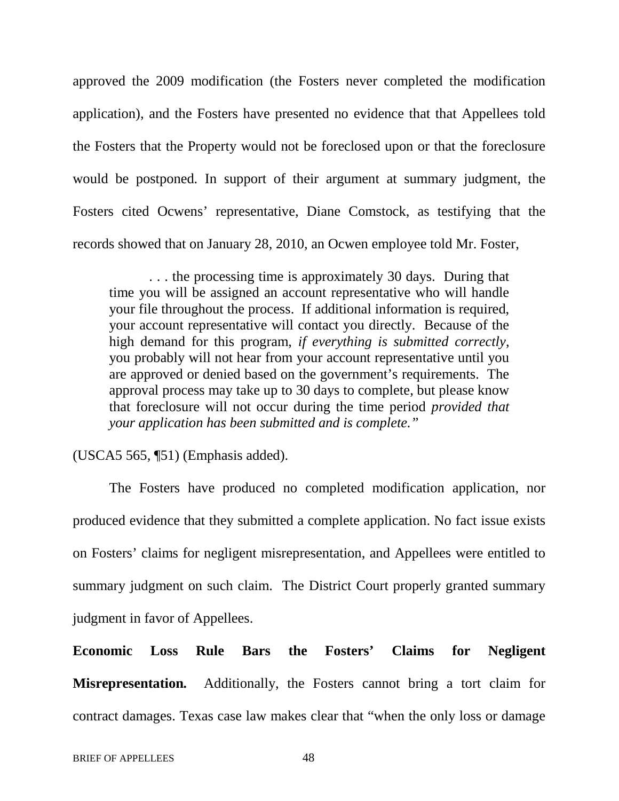approved the 2009 modification (the Fosters never completed the modification application), and the Fosters have presented no evidence that that Appellees told the Fosters that the Property would not be foreclosed upon or that the foreclosure would be postponed. In support of their argument at summary judgment, the Fosters cited Ocwens' representative, Diane Comstock, as testifying that the records showed that on January 28, 2010, an Ocwen employee told Mr. Foster,

. . . the processing time is approximately 30 days. During that time you will be assigned an account representative who will handle your file throughout the process. If additional information is required, your account representative will contact you directly. Because of the high demand for this program, *if everything is submitted correctly*, you probably will not hear from your account representative until you are approved or denied based on the government's requirements. The approval process may take up to 30 days to complete, but please know that foreclosure will not occur during the time period *provided that your application has been submitted and is complete."*

(USCA5 565, ¶51) (Emphasis added).

The Fosters have produced no completed modification application, nor produced evidence that they submitted a complete application. No fact issue exists on Fosters' claims for negligent misrepresentation, and Appellees were entitled to summary judgment on such claim. The District Court properly granted summary judgment in favor of Appellees.

**Economic Loss Rule Bars the Fosters' Claims for Negligent Misrepresentation***.* Additionally, the Fosters cannot bring a tort claim for contract damages. Texas case law makes clear that "when the only loss or damage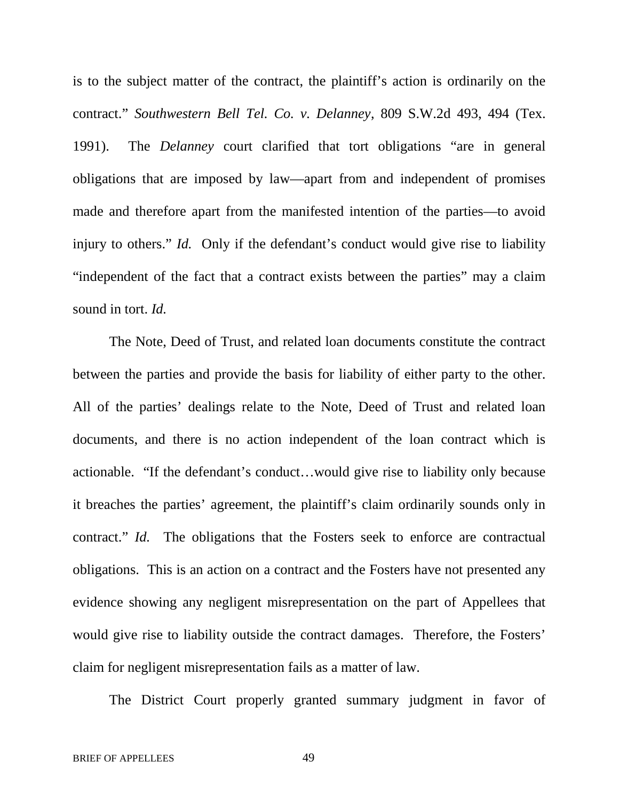is to the subject matter of the contract, the plaintiff's action is ordinarily on the contract." *Southwestern Bell Tel. Co. v. Delanney*, 809 S.W.2d 493, 494 (Tex. 1991). The *Delanney* court clarified that tort obligations "are in general obligations that are imposed by law—apart from and independent of promises made and therefore apart from the manifested intention of the parties—to avoid injury to others." *Id.* Only if the defendant's conduct would give rise to liability "independent of the fact that a contract exists between the parties" may a claim sound in tort. *Id.*

The Note, Deed of Trust, and related loan documents constitute the contract between the parties and provide the basis for liability of either party to the other. All of the parties' dealings relate to the Note, Deed of Trust and related loan documents, and there is no action independent of the loan contract which is actionable. "If the defendant's conduct…would give rise to liability only because it breaches the parties' agreement, the plaintiff's claim ordinarily sounds only in contract." *Id.* The obligations that the Fosters seek to enforce are contractual obligations. This is an action on a contract and the Fosters have not presented any evidence showing any negligent misrepresentation on the part of Appellees that would give rise to liability outside the contract damages. Therefore, the Fosters' claim for negligent misrepresentation fails as a matter of law.

The District Court properly granted summary judgment in favor of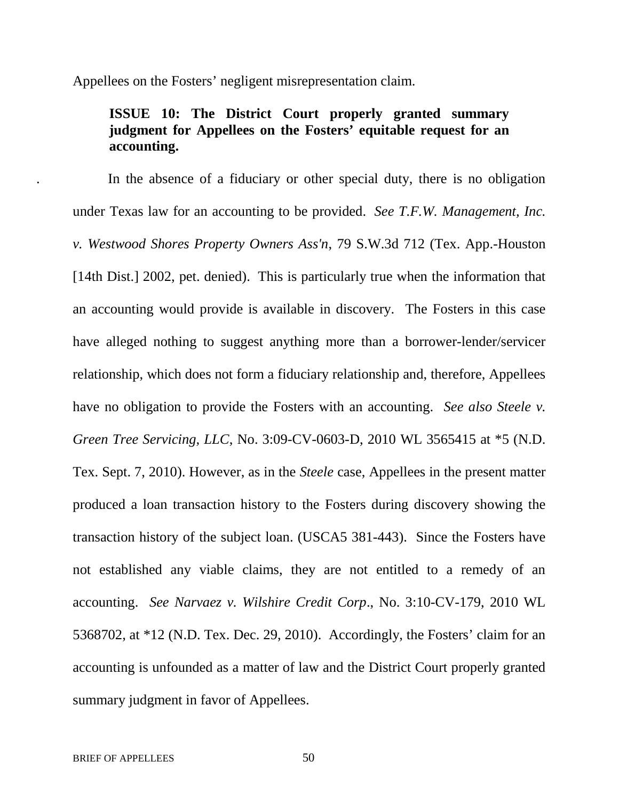Appellees on the Fosters' negligent misrepresentation claim.

# **ISSUE 10: The District Court properly granted summary judgment for Appellees on the Fosters' equitable request for an accounting.**

. In the absence of a fiduciary or other special duty, there is no obligation under Texas law for an accounting to be provided. *See T.F.W. Management, Inc. v. Westwood Shores Property Owners Ass'n*, 79 S.W.3d 712 (Tex. App.-Houston [14th Dist.] 2002, pet. denied). This is particularly true when the information that an accounting would provide is available in discovery. The Fosters in this case have alleged nothing to suggest anything more than a borrower-lender/servicer relationship, which does not form a fiduciary relationship and, therefore, Appellees have no obligation to provide the Fosters with an accounting. *See also Steele v. Green Tree Servicing, LLC*, No. 3:09-CV-0603-D, 2010 WL 3565415 at \*5 (N.D. Tex. Sept. 7, 2010). However, as in the *Steele* case, Appellees in the present matter produced a loan transaction history to the Fosters during discovery showing the transaction history of the subject loan. (USCA5 381-443). Since the Fosters have not established any viable claims, they are not entitled to a remedy of an accounting. *See Narvaez v. Wilshire Credit Corp*., No. 3:10-CV-179, 2010 WL 5368702, at \*12 (N.D. Tex. Dec. 29, 2010). Accordingly, the Fosters' claim for an accounting is unfounded as a matter of law and the District Court properly granted summary judgment in favor of Appellees.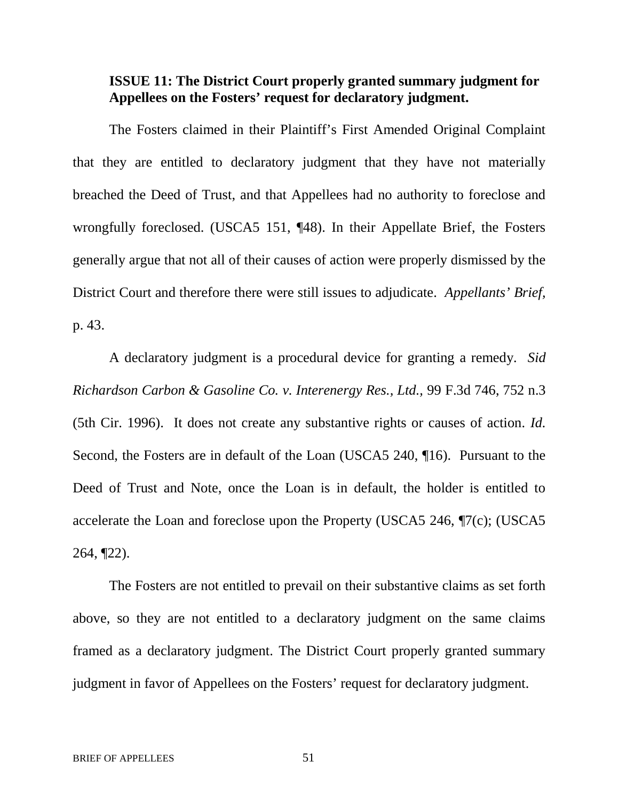# **ISSUE 11: The District Court properly granted summary judgment for Appellees on the Fosters' request for declaratory judgment.**

The Fosters claimed in their Plaintiff's First Amended Original Complaint that they are entitled to declaratory judgment that they have not materially breached the Deed of Trust, and that Appellees had no authority to foreclose and wrongfully foreclosed. (USCA5 151, ¶48). In their Appellate Brief, the Fosters generally argue that not all of their causes of action were properly dismissed by the District Court and therefore there were still issues to adjudicate. *Appellants' Brief,* p. 43.

A declaratory judgment is a procedural device for granting a remedy. *Sid Richardson Carbon & Gasoline Co. v. Interenergy Res., Ltd.,* 99 F.3d 746, 752 n.3 (5th Cir. 1996). It does not create any substantive rights or causes of action. *Id.* Second, the Fosters are in default of the Loan (USCA5 240, ¶16). Pursuant to the Deed of Trust and Note, once the Loan is in default, the holder is entitled to accelerate the Loan and foreclose upon the Property (USCA5 246, ¶7(c); (USCA5 264, ¶22).

The Fosters are not entitled to prevail on their substantive claims as set forth above, so they are not entitled to a declaratory judgment on the same claims framed as a declaratory judgment. The District Court properly granted summary judgment in favor of Appellees on the Fosters' request for declaratory judgment.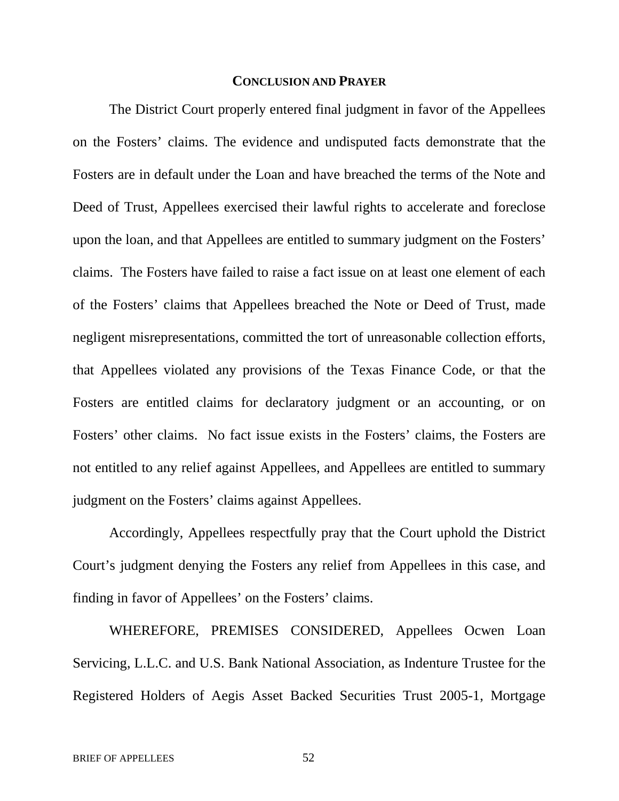### **CONCLUSION AND PRAYER**

The District Court properly entered final judgment in favor of the Appellees on the Fosters' claims. The evidence and undisputed facts demonstrate that the Fosters are in default under the Loan and have breached the terms of the Note and Deed of Trust, Appellees exercised their lawful rights to accelerate and foreclose upon the loan, and that Appellees are entitled to summary judgment on the Fosters' claims. The Fosters have failed to raise a fact issue on at least one element of each of the Fosters' claims that Appellees breached the Note or Deed of Trust, made negligent misrepresentations, committed the tort of unreasonable collection efforts, that Appellees violated any provisions of the Texas Finance Code, or that the Fosters are entitled claims for declaratory judgment or an accounting, or on Fosters' other claims. No fact issue exists in the Fosters' claims, the Fosters are not entitled to any relief against Appellees, and Appellees are entitled to summary judgment on the Fosters' claims against Appellees.

Accordingly, Appellees respectfully pray that the Court uphold the District Court's judgment denying the Fosters any relief from Appellees in this case, and finding in favor of Appellees' on the Fosters' claims.

WHEREFORE, PREMISES CONSIDERED, Appellees Ocwen Loan Servicing, L.L.C. and U.S. Bank National Association, as Indenture Trustee for the Registered Holders of Aegis Asset Backed Securities Trust 2005-1, Mortgage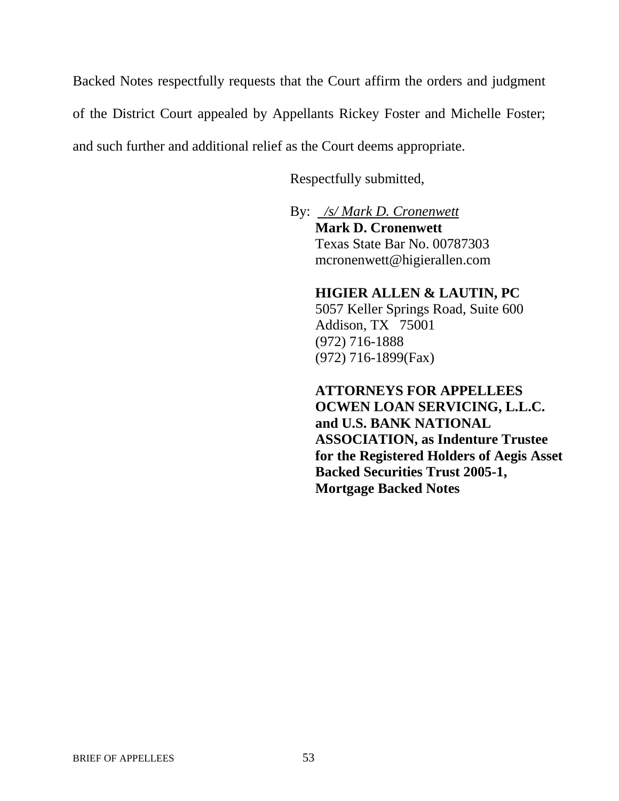Backed Notes respectfully requests that the Court affirm the orders and judgment of the District Court appealed by Appellants Rickey Foster and Michelle Foster; and such further and additional relief as the Court deems appropriate.

Respectfully submitted,

By: */s/ Mark D. Cronenwett* **Mark D. Cronenwett** Texas State Bar No. 00787303 mcronenwett@higierallen.com

### **HIGIER ALLEN & LAUTIN, PC**

5057 Keller Springs Road, Suite 600 Addison, TX 75001 (972) 716-1888 (972) 716-1899(Fax)

# **ATTORNEYS FOR APPELLEES OCWEN LOAN SERVICING, L.L.C. and U.S. BANK NATIONAL ASSOCIATION, as Indenture Trustee for the Registered Holders of Aegis Asset Backed Securities Trust 2005-1,**

**Mortgage Backed Notes**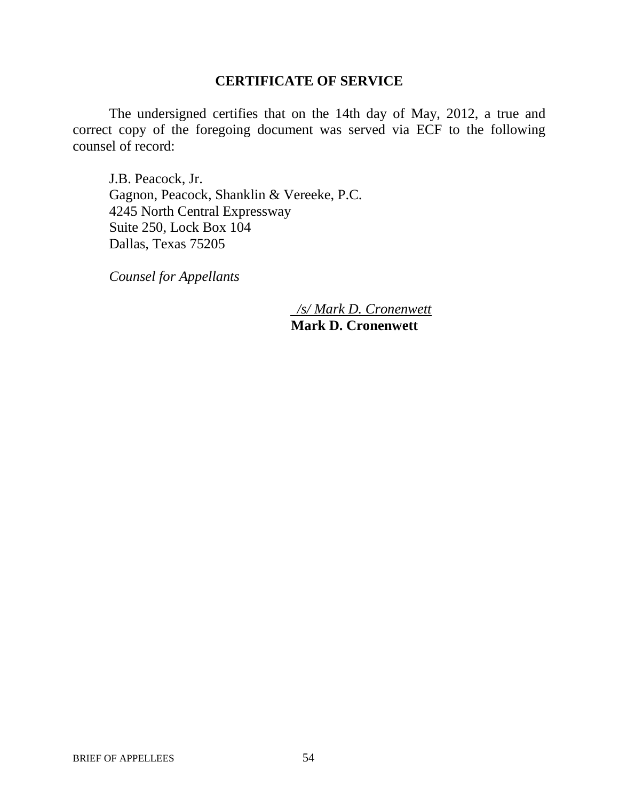### **CERTIFICATE OF SERVICE**

The undersigned certifies that on the 14th day of May, 2012, a true and correct copy of the foregoing document was served via ECF to the following counsel of record:

J.B. Peacock, Jr. Gagnon, Peacock, Shanklin & Vereeke, P.C. 4245 North Central Expressway Suite 250, Lock Box 104 Dallas, Texas 75205

*Counsel for Appellants*

*/s/ Mark D. Cronenwett* **Mark D. Cronenwett**